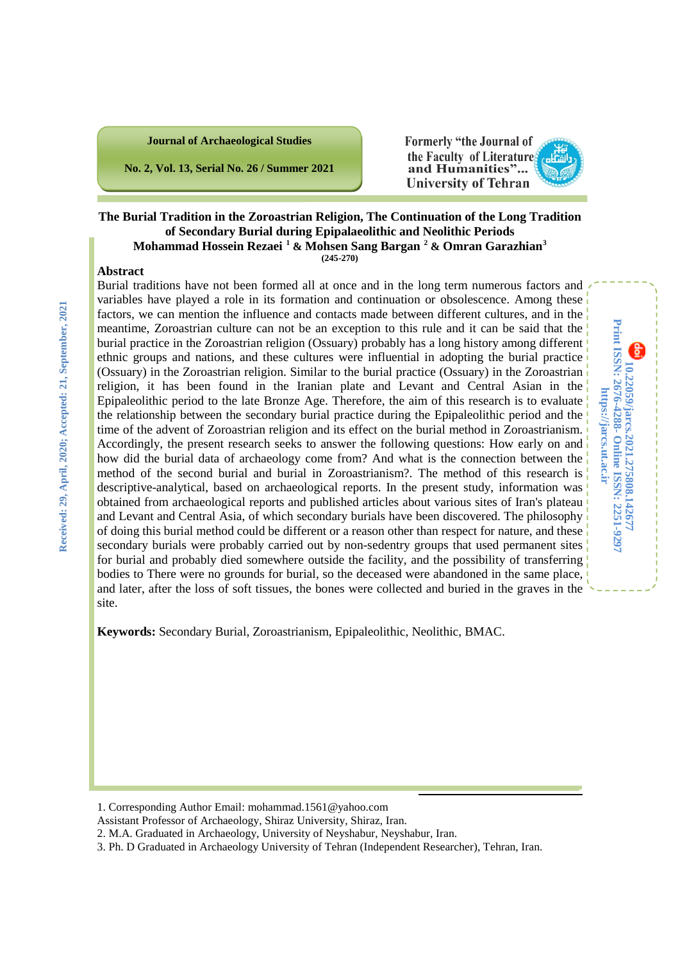#### **Journal of Archaeological Studies**

**No. 2, Vol. 13, Serial No. 26 / Summer 2021**

Formerly "the Journal of the Faculty of Literatures and Humanities"... **University of Tehran** 

**10.22059/jarcs.2021.275808.142677**

10.22059/jarcs.2021.275808.142677<br>Print ISSN: 2676-4288- Online ISSN: 2251-9297 https://jarcs.ut.ac.ir

**Online ISSN: 2251-9297**

**https://jarcs.ut.ac.ir**

**Print ISSN: 2676-4288-**

#### **The Burial Tradition in the Zoroastrian Religion, The Continuation of the Long Tradition of Secondary Burial during Epipalaeolithic and Neolithic Periods Mohammad Hossein Rezaei [1](#page-0-0) & Mohsen Sang Bargan [2](#page-0-1) & Omran Garazhian[3](#page-0-2) (245-270)**

#### **Abstract**

Burial traditions have not been formed all at once and in the long term numerous factors and variables have played a role in its formation and continuation or obsolescence. Among these factors, we can mention the influence and contacts made between different cultures, and in the meantime, Zoroastrian culture can not be an exception to this rule and it can be said that the burial practice in the Zoroastrian religion (Ossuary) probably has a long history among different ethnic groups and nations, and these cultures were influential in adopting the burial practice (Ossuary) in the Zoroastrian religion. Similar to the burial practice (Ossuary) in the Zoroastrian religion, it has been found in the Iranian plate and Levant and Central Asian in the Epipaleolithic period to the late Bronze Age. Therefore, the aim of this research is to evaluate the relationship between the secondary burial practice during the Epipaleolithic period and the time of the advent of Zoroastrian religion and its effect on the burial method in Zoroastrianism. Accordingly, the present research seeks to answer the following questions: How early on and how did the burial data of archaeology come from? And what is the connection between the method of the second burial and burial in Zoroastrianism?. The method of this research is descriptive-analytical, based on archaeological reports. In the present study, information was obtained from archaeological reports and published articles about various sites of Iran's plateau and Levant and Central Asia, of which secondary burials have been discovered. The philosophy of doing this burial method could be different or a reason other than respect for nature, and these secondary burials were probably carried out by non-sedentry groups that used permanent sites for burial and probably died somewhere outside the facility, and the possibility of transferring bodies to There were no grounds for burial, so the deceased were abandoned in the same place, and later, after the loss of soft tissues, the bones were collected and buried in the graves in the site.

**Keywords:** Secondary Burial, Zoroastrianism, Epipaleolithic, Neolithic, BMAC.

1

<span id="page-0-0"></span><sup>1.</sup> Corresponding Author Email: mohammad.1561@yahoo.com

Assistant Professor of Archaeology, Shiraz University, Shiraz, Iran.

<span id="page-0-1"></span><sup>2.</sup> M.A. Graduated in Archaeology, University of Neyshabur, Neyshabur, Iran.

<span id="page-0-2"></span><sup>3.</sup> Ph. D Graduated in Archaeology University of Tehran (Independent Researcher), Tehran, Iran.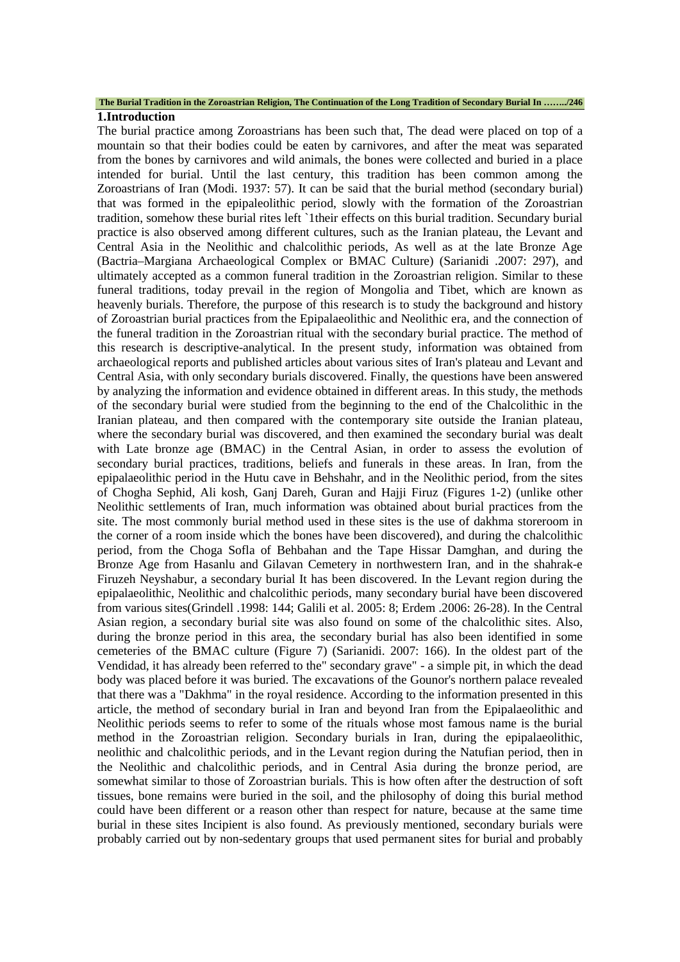#### **The Burial Tradition in the Zoroastrian Religion, The Continuation of the Long Tradition of Secondary Burial In ……../246**

#### **1.Introduction**

The burial practice among Zoroastrians has been such that, The dead were placed on top of a mountain so that their bodies could be eaten by carnivores, and after the meat was separated from the bones by carnivores and wild animals, the bones were collected and buried in a place intended for burial. Until the last century, this tradition has been common among the Zoroastrians of Iran (Modi. 1937: 57). It can be said that the burial method (secondary burial) that was formed in the epipaleolithic period, slowly with the formation of the Zoroastrian tradition, somehow these burial rites left `1their effects on this burial tradition. Secundary burial practice is also observed among different cultures, such as the Iranian plateau, the Levant and Central Asia in the Neolithic and chalcolithic periods, As well as at the late Bronze Age (Bactria–Margiana Archaeological Complex or BMAC Culture) (Sarianidi .2007: 297), and ultimately accepted as a common funeral tradition in the Zoroastrian religion. Similar to these funeral traditions, today prevail in the region of Mongolia and Tibet, which are known as heavenly burials. Therefore, the purpose of this research is to study the background and history of Zoroastrian burial practices from the Epipalaeolithic and Neolithic era, and the connection of the funeral tradition in the Zoroastrian ritual with the secondary burial practice. The method of this research is descriptive-analytical. In the present study, information was obtained from archaeological reports and published articles about various sites of Iran's plateau and Levant and Central Asia, with only secondary burials discovered. Finally, the questions have been answered by analyzing the information and evidence obtained in different areas. In this study, the methods of the secondary burial were studied from the beginning to the end of the Chalcolithic in the Iranian plateau, and then compared with the contemporary site outside the Iranian plateau, where the secondary burial was discovered, and then examined the secondary burial was dealt with Late bronze age (BMAC) in the Central Asian, in order to assess the evolution of secondary burial practices, traditions, beliefs and funerals in these areas. In Iran, from the epipalaeolithic period in the Hutu cave in Behshahr, and in the Neolithic period, from the sites of Chogha Sephid, Ali kosh, Ganj Dareh, Guran and Hajji Firuz (Figures 1-2) (unlike other Neolithic settlements of Iran, much information was obtained about burial practices from the site. The most commonly burial method used in these sites is the use of dakhma storeroom in the corner of a room inside which the bones have been discovered), and during the chalcolithic period, from the Choga Sofla of Behbahan and the Tape Hissar Damghan, and during the Bronze Age from Hasanlu and Gilavan Cemetery in northwestern Iran, and in the shahrak-e Firuzeh Neyshabur, a secondary burial It has been discovered. In the Levant region during the epipalaeolithic, Neolithic and chalcolithic periods, many secondary burial have been discovered from various sites(Grindell .1998: 144; Galili et al. 2005: 8; Erdem .2006: 26-28). In the Central Asian region, a secondary burial site was also found on some of the chalcolithic sites. Also, during the bronze period in this area, the secondary burial has also been identified in some cemeteries of the BMAC culture (Figure 7) (Sarianidi. 2007: 166). In the oldest part of the Vendidad, it has already been referred to the" secondary grave" - a simple pit, in which the dead body was placed before it was buried. The excavations of the Gounor's northern palace revealed that there was a "Dakhma" in the royal residence. According to the information presented in this article, the method of secondary burial in Iran and beyond Iran from the Epipalaeolithic and Neolithic periods seems to refer to some of the rituals whose most famous name is the burial method in the Zoroastrian religion. Secondary burials in Iran, during the epipalaeolithic, neolithic and chalcolithic periods, and in the Levant region during the Natufian period, then in the Neolithic and chalcolithic periods, and in Central Asia during the bronze period, are somewhat similar to those of Zoroastrian burials. This is how often after the destruction of soft tissues, bone remains were buried in the soil, and the philosophy of doing this burial method could have been different or a reason other than respect for nature, because at the same time burial in these sites Incipient is also found. As previously mentioned, secondary burials were probably carried out by non-sedentary groups that used permanent sites for burial and probably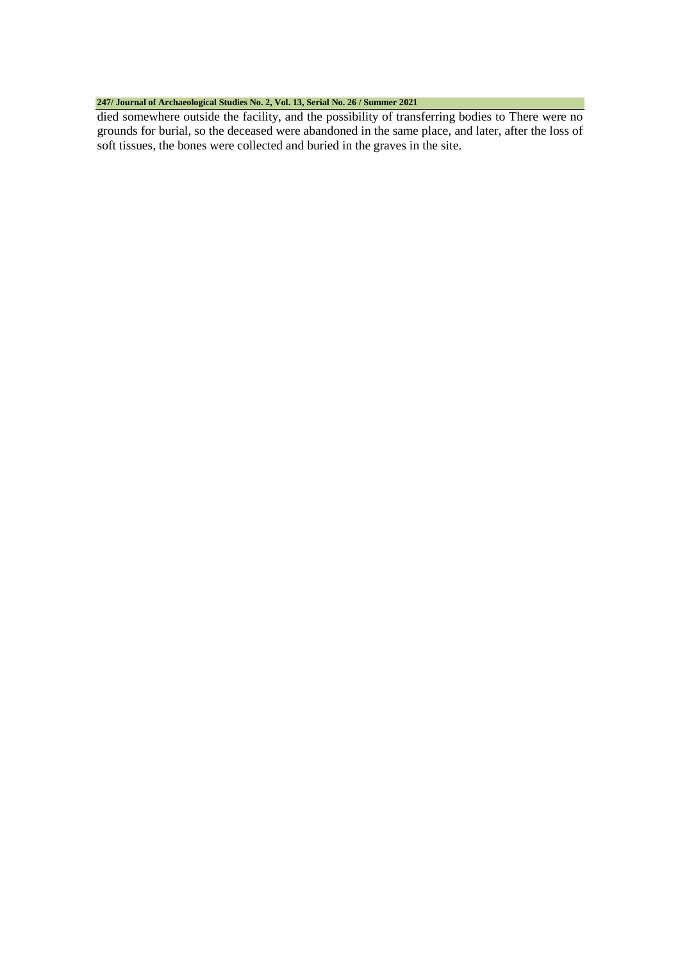#### **247/ Journal of Archaeological Studies No. 2, Vol. 13, Serial No. 26 / Summer 2021**

died somewhere outside the facility, and the possibility of transferring bodies to There were no grounds for burial, so the deceased were abandoned in the same place, and later, after the loss of soft tissues, the bones were collected and buried in the graves in the site.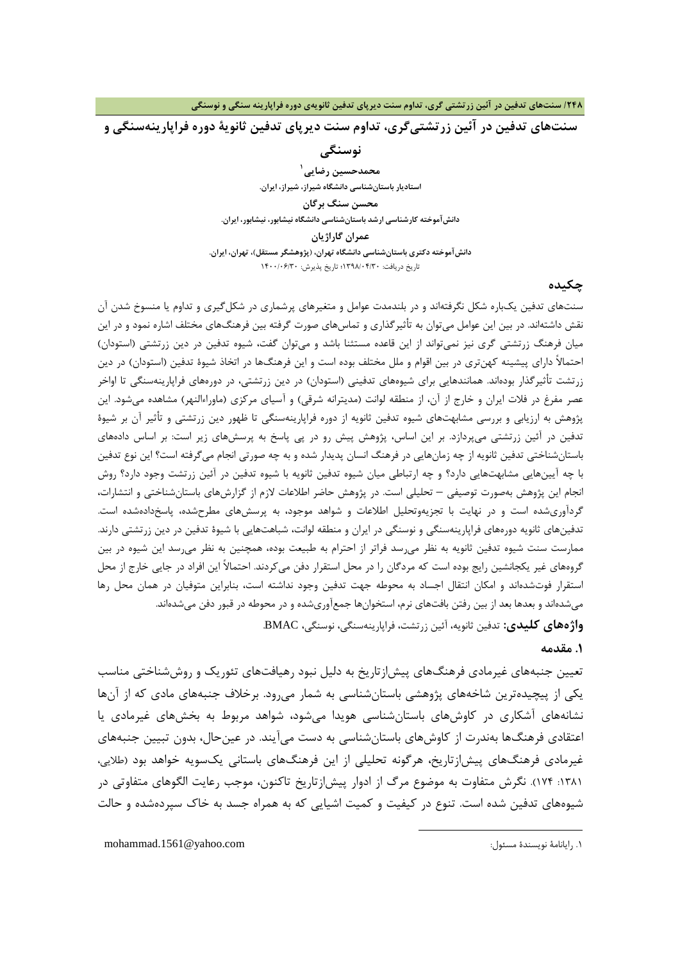**سنتهاي تدفین در آئین زرتشتیگري، تداوم سنت دیرپاي تدفین ثانویۀ دوره فراپارینهسنگی و** 

**نوسنگی**

**1 محمدحسین رضایی استادیار باستانشناسی دانشگاه شیراز، شیراز، ایران. محسن سنگ برگا[ن](#page-3-0) دانشآموخته کارشناسی ارشد باستانشناسی دانشگاه نیشابور، نیشابور، ایران. عمران گاراژیان دانشآموخته دکتري باستانشناسی دانشگاه تهران، (پژوهشگر مستقل)، تهران، ایران.** تاریخ دریافت: 1398/04/30؛ تاریخ پذیرش: 1400/06/30

#### **چکیده**

سنتهاي تدفین یکباره شکل نگرفتهاند و در بلندمدت عوامل و متغیرهاي پرشماري در شکلگیري و تداوم یا منسوخ شدن آن نقش داشتهاند. در بین این عوامل میتوان به تأثیرگذاري و تماسهاي صورت گرفته بین فرهنگهاي مختلف اشاره نمود و در این میان فرهنگ زرتشتی گري نیز نمیتواند از این قاعده مستثنا باشد و میتوان گفت، شیوه تدفین در دین زرتشتی (استودان) احتمالاً داراي پیشینه کهنتري در بین اقوام و ملل مختلف بوده است و این فرهنگها در اتخاذ شیوة تدفین (استودان) در دین زرتشت تأثیرگذار بودهاند. همانندهایی براي شیوههاي تدفینی (استودان) در دین زرتشتی، در دورههاي فراپارینهسنگی تا اواخر عصر مفرغ در فلات ایران و خارج از آن، از منطقه لوانت (مدیترانه شرقی) و آسیاي مرکزي (ماوراءالنهر) مشاهده میشود. این پژوهش به ارزیابی و بررسی مشابهتهاي شیوه تدفین ثانویه از دوره فراپارینهسنگی تا ظهور دین زرتشتی و تأثیر آن بر شیوة تدفین در آئین زرتشتی میپردازد. بر این اساس، پژوهش پیش رو در پی پاسخ به پرسشهاي زیر است: بر اساس دادههاي باستانشناختی تدفین ثانویه از چه زمانهایی در فرهنگ انسان پدیدار شده و به چه صورتی انجام میگرفته است؟ این نوع تدفین با چه آیینهایی مشابهتهایی دارد؟ و چه ارتباطی میان شیوه تدفین ثانویه با شیوه تدفین در آئین زرتشت وجود دارد؟ روش انجام این پژوهش بهصورت توصیفی – تحلیلی است. در پژوهش حاضر اطلاعات لازم از گزارشهاي باستانشناختی و انتشارات، گردآوريشده است و در نهایت با تجزیهوتحلیل اطلاعات و شواهد موجود، به پرسشهاي مطرحشده، پاسخدادهشده است. تدفینهاي ثانویه دورههاي فراپارینهسنگی و نوسنگی در ایران و منطقه لوانت، شباهتهایی با شیوة تدفین در دین زرتشتی دارند. ممارست سنت شیوه تدفین ثانویه به نظر میرسد فراتر از احترام به طبیعت بوده، همچنین به نظر میرسد این شیوه در بین گروههاي غیر یکجانشین رایج بوده است که مردگان را در محل استقرار دفن میکردند. احتمالاً این افراد در جایی خارج از محل استقرار فوتشدهاند و امکان انتقال اجساد به محوطه جهت تدفین وجود نداشته است، بنابراین متوفیان در همان محل رها میشدهاند و بعدها بعد از بین رفتن بافتهاي نرم، استخوانها جمعآوريشده و در محوطه در قبور دفن میشدهاند. **واژههاي کلیدي:** تدفین ثانویه، آئین زرتشت، فراپارینهسنگی، نوسنگی، BMAC.

#### **.1 مقدمه**

تعیین جنبههاي غیرمادي فرهنگهاي پیشازتاریخ به دلیل نبود رهیافتهاي تئوریک و روششناختی مناسب یکی از پیچیدهترین شاخههاي پژوهشی باستانشناسی به شمار میرود. برخلاف جنبههاي مادي که از آنها نشانههاي آشکاري در کاوشهاي باستانشناسی هویدا میشود، شواهد مربوط به بخشهاي غیرمادي یا اعتقادي فرهنگها بهندرت از کاوشهاي باستانشناسی به دست میآیند. در عینحال، بدون تبیین جنبههاي غیرمادي فرهنگهاي پیشازتاریخ، هرگونه تحلیلی از این فرهنگهاي باستانی یکسویه خواهد بود (طلایی، :1381 174). نگرش متفاوت به موضوع مرگ از ادوار پیشازتاریخ تاکنون، موجب رعایت الگوهاي متفاوتی در شیوههاي تدفین شده است. تنوع در کیفیت و کمیت اشیایی که به همراه جسد به خاك سپردهشده و حالت

1

<span id="page-3-0"></span>.1 رایانامۀ نویسندة مسئول: com.yahoo@.1561mohammad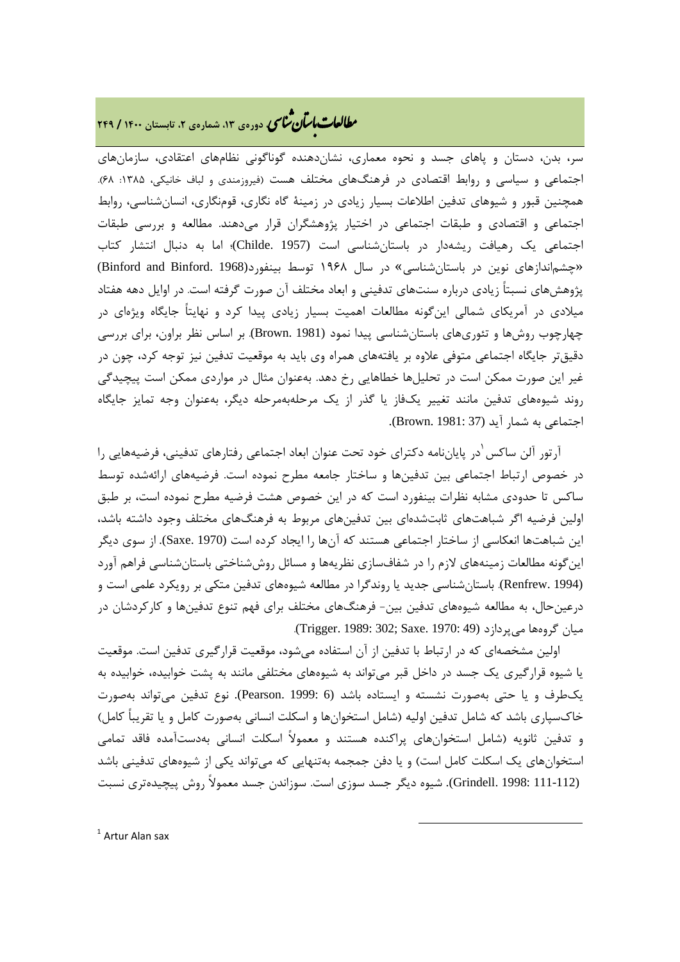### **، دورهي ،13 شمارهي ،2 تابستان <sup>1400</sup> / <sup>249</sup>** � ی نا� �طا با� تان �عات

سر، بدن، دستان و پاهاي جسد و نحوه معماري، نشاندهنده گوناگونی نظامهاي اعتقادي، سازمانهاي اجتماعی و سیاسی و روابط اقتصادی در فرهنگهای مختلف هست (فیروزمندی و لباف خانیکی، ۱۳۸۵: ۶۸). همچنین قبور و شیوهاي تدفین اطلاعات بسیار زیادي در زمینۀ گاه نگاري، قومنگاري، انسانشناسی، روابط اجتماعی و اقتصادي و طبقات اجتماعی در اختیار پژوهشگران قرار میدهند. مطالعه و بررسی طبقات اجتماعی یک رهیافت ریشهدار در باستانشناسی است (1957 .Childe(؛ اما به دنبال انتشار کتاب «چشماندازهاي نوین در باستانشناسی» در سال 1968 توسط بینفورد(1968 .Binford and Binford( پژوهشهاي نسبتاً زیادي درباره سنتهاي تدفینی و ابعاد مختلف آن صورت گرفته است. در اوایل دهه هفتاد میلادي در آمریکاي شمالی اینگونه مطالعات اهمیت بسیار زیادي پیدا کرد و نهایتاً جایگاه ویژهاي در چهارچوب روشها و تئوريهاي باستانشناسی پیدا نمود (1981 .Brown(. بر اساس نظر براون، براي بررسی دقیقتر جایگاه اجتماعی متوفی علاوه بر یافتههاي همراه وي باید به موقعیت تدفین نیز توجه کرد، چون در غیر این صورت ممکن است در تحلیلها خطاهایی رخ دهد. بهعنوان مثال در مواردي ممکن است پیچیدگی روند شیوههاي تدفین مانند تغییر یکفاز یا گذر از یک مرحلهبهمرحله دیگر، بهعنوان وجه تمایز جایگاه اجتماعی به شمار آید (37 1981: .Brown(.

آرتور آلن ساکس <sup>י</sup>در پایاننامه دکترای خود تحت عنوان ابعاد اجتماعی رفتارهای تدفینی، فرضیههایی را در خصوص ارتباط اجتماعی بین تدفینها و ساختار جامعه مطرح نموده است. فرضیههاي ارائهشده توسط ساکس تا حدودي مشابه نظرات بینفورد است که در این خصوص هشت فرضیه مطرح نموده است، بر طبق اولین فرضیه اگر شباهتهاي ثابتشدهاي بین تدفینهاي مربوط به فرهنگهاي مختلف وجود داشته باشد، این شباهتها انعکاسی از ساختار اجتماعی هستند که آنها را ایجاد کرده است (1970 .Saxe(. از سوي دیگر اینگونه مطالعات زمینههاي لازم را در شفافسازي نظریهها و مسائل روششناختی باستانشناسی فراهم آورد (1994 .Renfrew(. باستانشناسی جدید یا روندگرا در مطالعه شیوههاي تدفین متکی بر رویکرد علمی است و درعینحال، به مطالعه شیوههاي تدفین بین- فرهنگهاي مختلف براي فهم تنوع تدفینها و کارکردشان در میان گروهها میپردازد (49 :Trigger. 1989: 302; Saxe. 1970).

 اولین مشخصهاي که در ارتباط با تدفین از آن استفاده میشود، موقعیت قرارگیري تدفین است. موقعیت یا شیوه قرارگیري یک جسد در داخل قبر میتواند به شیوههاي مختلفی مانند به پشت خوابیده، خوابیده به یکطرف و یا حتی بهصورت نشسته و ایستاده باشد (6 1999: .Pearson(. نوع تدفین میتواند بهصورت خاكسپاري باشد که شامل تدفین اولیه (شامل استخوانها و اسکلت انسانی بهصورت کامل و یا تقریباً کامل) و تدفین ثانویه (شامل استخوانهاي پراکنده هستند و معمولاً اسکلت انسانی بهدستآمده فاقد تمامی استخوانهاي یک اسکلت کامل است) و یا دفن جمجمه بهتنهایی که میتواند یکی از شیوههاي تدفینی باشد (111-112 1998: .Grindell(. شیوه دیگر جسد سوزي است. سوزاندن جسد معمولاً روش پیچیدهتري نسبت

<span id="page-4-0"></span> $1$  Artur Alan sax  $\overline{\phantom{a}}$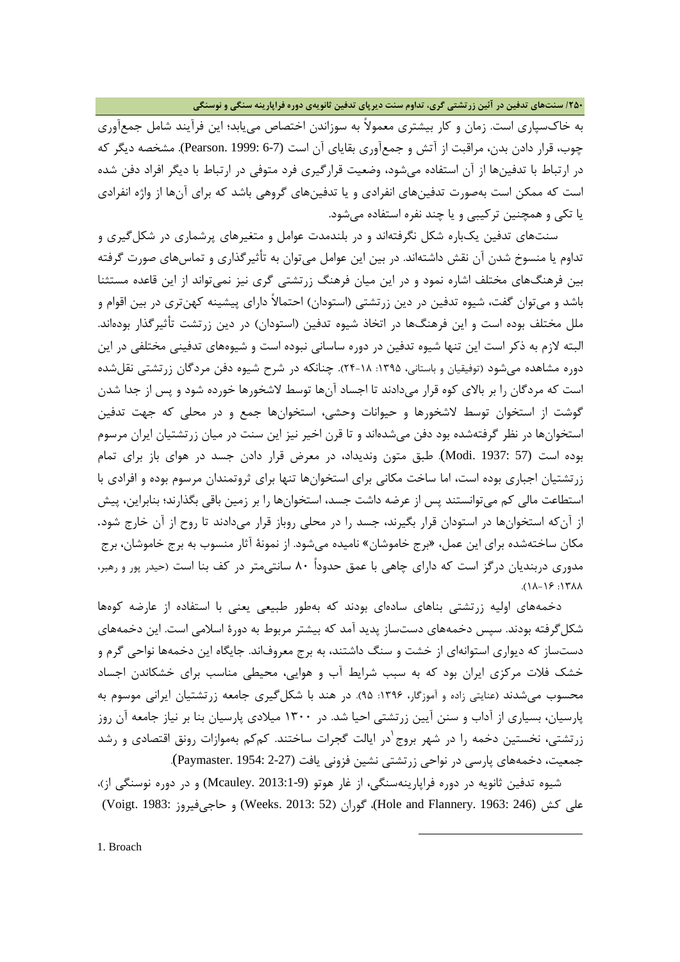**/250 سنتهاي تدفین در آئین زرتشتی گري، تداوم سنت دیرپاي تدفین ثانویهي دوره فراپارینه سنگی و نوسنگی**

به خاكسپاري است. زمان و کار بیشتري معمولاً به سوزاندن اختصاص مییابد؛ این فرآیند شامل جمعآوري چوب، قرار دادن بدن، مراقبت از آتش و جمعآوري بقایاي آن است (6-7 1999: .Pearson(. مشخصه دیگر که در ارتباط با تدفینها از آن استفاده میشود، وضعیت قرارگیري فرد متوفی در ارتباط با دیگر افراد دفن شده است که ممکن است بهصورت تدفینهاي انفرادي و یا تدفینهاي گروهی باشد که براي آنها از واژه انفرادي یا تکی و همچنین ترکیبی و یا چند نفره استفاده میشود.

 سنتهاي تدفین یکباره شکل نگرفتهاند و در بلندمدت عوامل و متغیرهاي پرشماري در شکلگیري و تداوم یا منسوخ شدن آن نقش داشتهاند. در بین این عوامل میتوان به تأثیرگذاري و تماسهاي صورت گرفته بین فرهنگهاي مختلف اشاره نمود و در این میان فرهنگ زرتشتی گري نیز نمیتواند از این قاعده مستثنا باشد و میتوان گفت، شیوه تدفین در دین زرتشتی (استودان) احتمالاً داراي پیشینه کهنتري در بین اقوام و ملل مختلف بوده است و این فرهنگها در اتخاذ شیوه تدفین (استودان) در دین زرتشت تأثیرگذار بودهاند. البته لازم به ذکر است این تنها شیوه تدفین در دوره ساسانی نبوده است و شیوههاي تدفینی مختلفی در این دوره مشاهده میشود (توفیقیان و باستانی، ۱۳۹۵: ۱۸-۲۴). چنانکه در شرح شیوه دفن مردگان زرتشتی نقلشده است که مردگان را بر بالاي کوه قرار میدادند تا اجساد آنها توسط لاشخورها خورده شود و پس از جدا شدن گوشت از استخوان توسط لاشخورها و حیوانات وحشی، استخوانها جمع و در محلی که جهت تدفین استخوانها در نظر گرفتهشده بود دفن میشدهاند و تا قرن اخیر نیز این سنت در میان زرتشتیان ایران مرسوم بوده است (57 1937: .Modi(. طبق متون وندیداد، در معرض قرار دادن جسد در هواي باز براي تمام زرتشتیان اجباري بوده است، اما ساخت مکانی براي استخوانها تنها براي ثروتمندان مرسوم بوده و افرادي با استطاعت مالی کم میتوانستند پس از عرضه داشت جسد، استخوانها را بر زمین باقی بگذارند؛ بنابراین، پیش از آنکه استخوانها در استودان قرار بگیرند، جسد را در محلی روباز قرار میدادند تا روح از آن خارج شود. مکان ساختهشده براي این عمل، «برج خاموشان» نامیده میشود. از نمونۀ آثار منسوب به برج خاموشان، برج مدوري دربندیان درگز است که داراي چاهی با عمق حدوداً 80 سانتیمتر در کف بنا است (حیدر پور و رهبر،  $\Lambda$ A $\gamma$  : 17 $\Lambda$ A $\Lambda$ 

 دخمههاي اولیه زرتشتی بناهاي سادهاي بودند که بهطور طبیعی یعنی با استفاده از عارضه کوهها شکلگرفته بودند. سپس دخمههاي دستساز پدید آمد که بیشتر مربوط به دورة اسلامی است. این دخمههاي دستساز که دیواري استوانهاي از خشت و سنگ داشتند، به برج معروفاند. جایگاه این دخمهها نواحی گرم و خشک فلات مرکزي ایران بود که به سبب شرایط آب و هوایی، محیطی مناسب براي خشکاندن اجساد محسوب می شدند (عنایتی زاده و آموزگار، ۱۳۹۶: ۹۵). در هند با شکل گیری جامعه زرتشتیان ایرانی موسوم به پارسیان، بسیاري از آداب و سنن آیین زرتشتی احیا شد. در 1300 میلادي پارسیان بنا بر نیاز جامعه آن روز زرتشتی، نخستین دخمه را در شهر بروج<sup>ا</sup>در ایالت گجرات ساختند. کمکم بهموازات رونق اقتصادی و رشد جمعیت، دخمههاي پارسی در نواحی زرتشتی نشین فزونی یافت (2-27 1954: .Paymaster(.

<span id="page-5-0"></span> شیوه تدفین ثانویه در دوره فراپارینهسنگی، از غار هوتو (2013:1-9 .Mcauley (و در دوره نوسنگی از)، علی کش (246 :Voigt. 1983) عوران (246 Weeks. 2013: 52) و حاجیفیروز (Voigt. 1983

**.**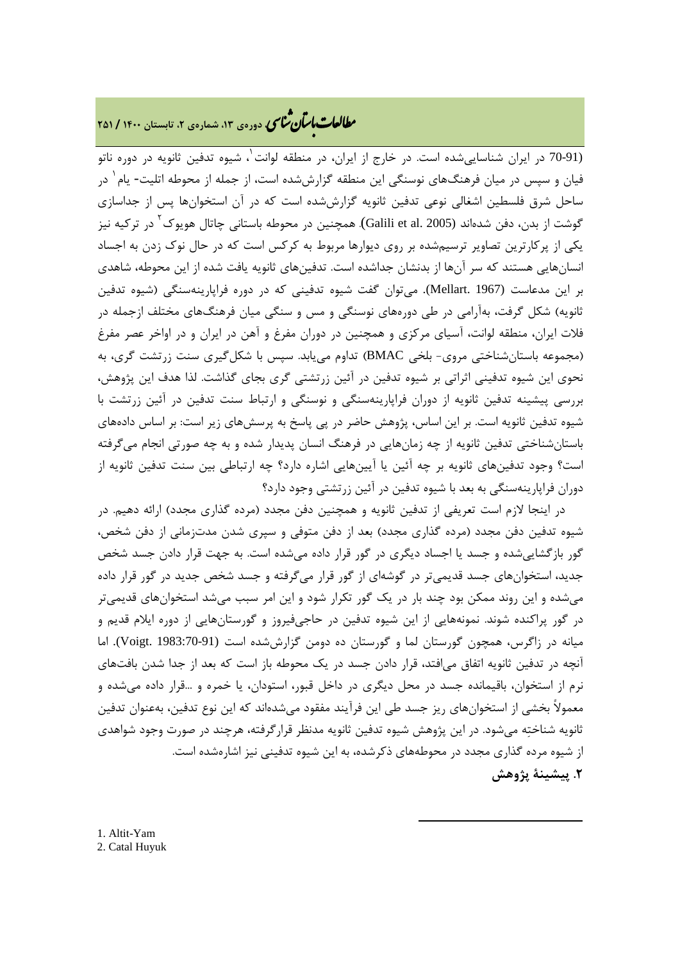# **، دورهي ،13 شمارهي ،2 تابستان <sup>1400</sup> / <sup>251</sup>** � ی نا� �طا با� تان �عات

(9[1](#page-21-0)-70 در ایران شناسایی شده است. در خارج از ایران، در منطقه لوانت ب شیوه تدفین ثانویه در دوره ناتو فیان و سپس در میان فرهنگهای نوسنگی این منطقه گزارششده است، از جمله از محوطه اتلیت- یام<sup>۱</sup> در ساحل شرق فلسطین اشغالی نوعی تدفین ثانویه گزارششده است که در آن استخوانها پس از جداسازي گوشت از بدن، دفن شدهاند ([2](#page-6-1)005 .Galili et al). همچنین در محوطه باستانی چاتال هویوک <sup>۱</sup> در ترکیه نیز یکی از پرکارترین تصاویر ترسیمشده بر روي دیوارها مربوط به کرکس است که در حال نوك زدن به اجساد انسانهایی هستند که سر آنها از بدنشان جداشده است. تدفینهاي ثانویه یافت شده از این محوطه، شاهدي بر این مدعاست (1967 .Mellart(. میتوان گفت شیوه تدفینی که در دوره فراپارینهسنگی (شیوه تدفین ثانویه) شکل گرفت، بهآرامی در طی دورههاي نوسنگی و مس و سنگی میان فرهنگهاي مختلف ازجمله در فلات ایران، منطقه لوانت، آسیاي مرکزي و همچنین در دوران مفرغ و آهن در ایران و در اواخر عصر مفرغ (مجموعه باستانشناختی مروي- بلخی BMAC (تداوم مییابد. سپس با شکلگیري سنت زرتشت گري، به نحوي این شیوه تدفینی اثراتی بر شیوه تدفین در آئین زرتشتی گري بجاي گذاشت. لذا هدف این پژوهش، بررسی پیشینه تدفین ثانویه از دوران فراپارینهسنگی و نوسنگی و ارتباط سنت تدفین در آئین زرتشت با شیوه تدفین ثانویه است. بر این اساس، پژوهش حاضر در پی پاسخ به پرسشهاي زیر است: بر اساس دادههاي باستانشناختی تدفین ثانویه از چه زمانهایی در فرهنگ انسان پدیدار شده و به چه صورتی انجام میگرفته است؟ وجود تدفینهاي ثانویه بر چه آئین یا آیینهایی اشاره دارد؟ چه ارتباطی بین سنت تدفین ثانویه از دوران فراپارینهسنگی به بعد با شیوه تدفین در آئین زرتشتی وجود دارد؟

 در اینجا لازم است تعریفی از تدفین ثانویه و همچنین دفن مجدد (مرده گذاري مجدد) ارائه دهیم. در شیوه تدفین دفن مجدد (مرده گذاري مجدد) بعد از دفن متوفی و سپري شدن مدتزمانی از دفن شخص، گور بازگشاییشده و جسد یا اجساد دیگري در گور قرار داده میشده است. به جهت قرار دادن جسد شخص جدید، استخوانهاي جسد قدیمیتر در گوشهاي از گور قرار میگرفته و جسد شخص جدید در گور قرار داده میشده و این روند ممکن بود چند بار در یک گور تکرار شود و این امر سبب میشد استخوانهاي قدیمیتر در گور پراکنده شوند. نمونههایی از این شیوه تدفین در حاجیفیروز و گورستانهایی از دوره ایلام قدیم و میانه در زاگرس، همچون گورستان لما و گورستان ده دومن گزارششده است (1983:70-91 .Voigt(. اما آنچه در تدفین ثانویه اتفاق میافتد، قرار دادن جسد در یک محوطه باز است که بعد از جدا شدن بافتهاي نرم از استخوان، باقیمانده جسد در محل دیگري در داخل قبور، استودان، یا خمره و ...قرار داده میشده و معمولاً بخشی از استخوانهاي ریز جسد طی این فرآیند مفقود میشدهاند که این نوع تدفین، بهعنوان تدفین ثانویه شناخته میشود. در این پژوهش شیوه تدفین ثانویه مدنظر قرارگرفته، هرچند در صورت وجود شواهدي از شیوه مرده گذاري مجدد در محوطههاي ذکرشده، به این شیوه تدفینی نیز اشارهشده است. **.2 پیشینۀ پژوهش**

 $\overline{a}$ 

<span id="page-6-1"></span><span id="page-6-0"></span>1. Altit-Yam 2. Catal Huyuk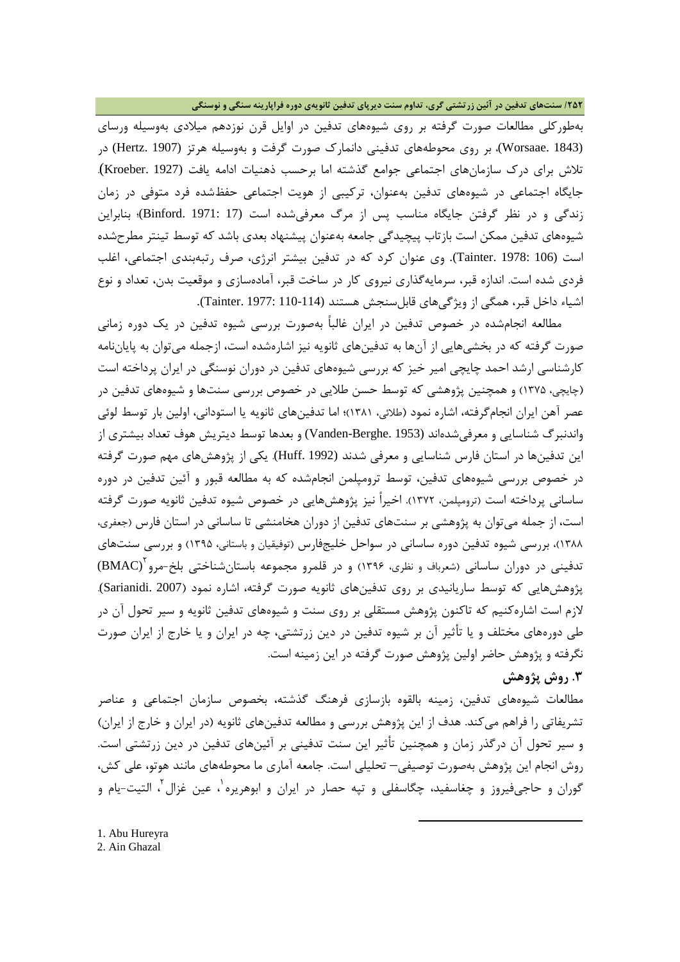#### **/252 سنتهاي تدفین در آئین زرتشتی گري، تداوم سنت دیرپاي تدفین ثانویهي دوره فراپارینه سنگی و نوسنگی**

بهطورکلی مطالعات صورت گرفته بر روي شیوههاي تدفین در اوایل قرن نوزدهم میلادي بهوسیله ورساي (1843 .Worsaae(، بر روي محوطههاي تدفینی دانمارك صورت گرفت و بهوسیله هرتز (1907 .Hertz (در تلاش براي درك سازمانهاي اجتماعی جوامع گذشته اما برحسب ذهنیات ادامه یافت (1927 .Kroeber(. جایگاه اجتماعی در شیوههاي تدفین بهعنوان، ترکیبی از هویت اجتماعی حفظشده فرد متوفی در زمان زندگی و در نظر گرفتن جایگاه مناسب پس از مرگ معرفیشده است (17 1971: .Binford(؛ بنابراین شیوههاي تدفین ممکن است بازتاب پیچیدگی جامعه بهعنوان پیشنهاد بعدي باشد که توسط تینتر مطرحشده است (106 1978: .Tainter(. وي عنوان کرد که در تدفین بیشتر انرژي، صرف رتبهبندي اجتماعی، اغلب فردي شده است. اندازه قبر، سرمایهگذاري نیروي کار در ساخت قبر، آمادهسازي و موقعیت بدن، تعداد و نوع اشیاء داخل قبر، همگی از ویژگیهاي قابلسنجش هستند (110-114 1977: .Tainter(.

 مطالعه انجامشده در خصوص تدفین در ایران غالباً بهصورت بررسی شیوه تدفین در یک دوره زمانی صورت گرفته که در بخشیهایی از آنها به تدفینهاي ثانویه نیز اشارهشده است، ازجمله میتوان به پایاننامه کارشناسی ارشد احمد چایچی امیر خیز که بررسی شیوههاي تدفین در دوران نوسنگی در ایران پرداخته است (چایچی، 1375) و همچنین پژوهشی که توسط حسن طلایی در خصوص بررسی سنتها و شیوههاي تدفین در عصر آهن ایران انجامگرفته، اشاره نمود (طلائی، 1381)؛ اما تدفینهاي ثانویه یا استودانی، اولین بار توسط لوئی واندنبرگ شناسایی و معرفیشدهاند (1953 .Berghe-Vanden (و بعدها توسط دیتریش هوف تعداد بیشتري از این تدفینها در استان فارس شناسایی و معرفی شدند (1992 .Huff(. یکی از پژوهشهاي مهم صورت گرفته در خصوص بررسی شیوههاي تدفین، توسط ترومپلمن انجامشده که به مطالعه قبور و آئین تدفین در دوره ساسانی پرداخته است (ترومپلمن، 1372). اخیراً نیز پژوهشهایی در خصوص شیوه تدفین ثانویه صورت گرفته است، از جمله میتوان به پژوهشی بر سنتهاي تدفین از دوران هخامنشی تا ساسانی در استان فارس (جعفري، 1388)، بررسی شیوه تدفین دوره ساسانی در سواحل خلیجفارس (توفیقیان و باستانی، 1395) و بررسی سنتهاي تدفینی در دوران ساسانی (شعرباف و نظری، ۱۳۹۶) و در قلمرو مجموعه باستانشناختی بلخ-مرو BMAC) پژوهشهایی که توسط ساریانیدي بر روي تدفینهاي ثانویه صورت گرفته، اشاره نمود (2007 .Sarianidi(. لازم است اشارهکنیم که تاکنون پژوهش مستقلی بر روي سنت و شیوههاي تدفین ثانویه و سیر تحول آن در طی دورههاي مختلف و یا تأثیر آن بر شیوه تدفین در دین زرتشتی، چه در ایران و یا خارج از ایران صورت نگرفته و پژوهش حاضر اولین پژوهش صورت گرفته در این زمینه است.

#### **.3 روش پژوهش**

مطالعات شیوههاي تدفین، زمینه بالقوه بازسازي فرهنگ گذشته، بخصوص سازمان اجتماعی و عناصر تشریفاتی را فراهم میکند. هدف از این پژوهش بررسی و مطالعه تدفینهاي ثانویه (در ایران و خارج از ایران) و سیر تحول آن درگذر زمان و همچنین تأثیر این سنت تدفینی بر آئینهاي تدفین در دین زرتشتی است. روش انجام این پژوهش بهصورت توصیفی– تحلیلی است. جامعه آماري ما محوطههاي مانند هوتو، علی کش، گوران و حاجیفیروز و چغاسفید، چگاسفلی و تپه حصار در ایران و ابوهریره<sup>٬</sup>، عین غزال<sup>۲</sup>، التیت-یام و

 $\overline{a}$ 

<span id="page-7-1"></span><span id="page-7-0"></span>1. Abu Hureyra 2. Ain Ghazal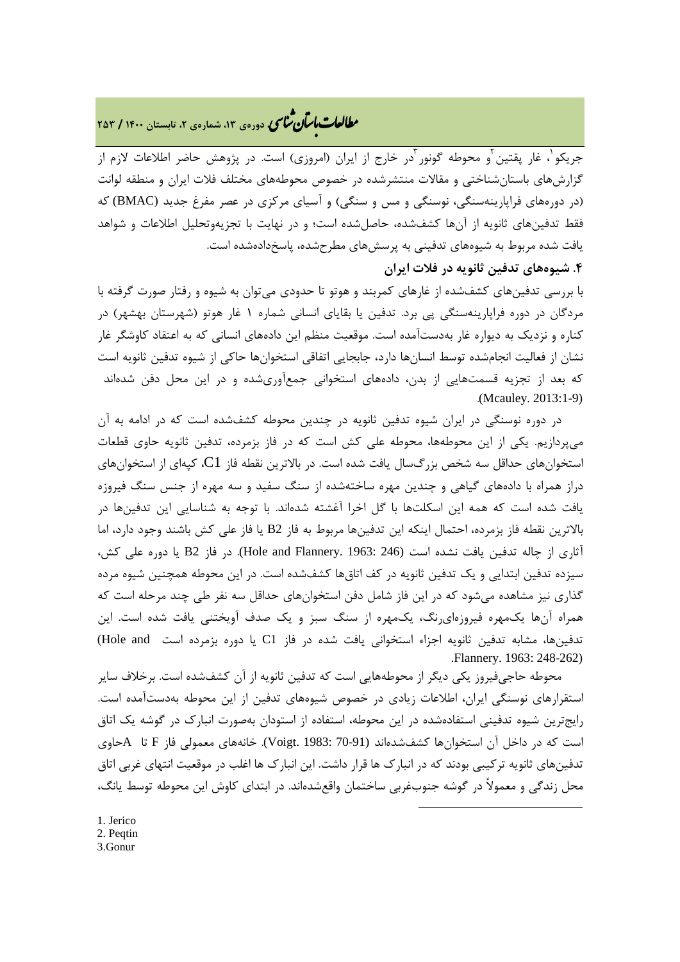## **، دورهي ،13 شمارهي ،2 تابستان <sup>1400</sup> / <sup>253</sup>** � ی نا� �طا با� تان �عات

جريکو ٰ، غار پقتين ٰو محوطه گونور ٰدر خارج از ايران (امروزي) است. در پژوهش حاضر اطلاعات لازم از گزارشهاي باستانشناختی و مقالات منتشرشده در خصوص محوطههاي مختلف فلات ایران و منطقه لوانت (در دورههاي فراپارینهسنگی، نوسنگی و مس و سنگی) و آسیاي مرکزي در عصر مفرغ جدید (BMAC (که فقط تدفینهاي ثانویه از آنها کشفشده، حاصلشده است؛ و در نهایت با تجزیهوتحلیل اطلاعات و شواهد یافت شده مربوط به شیوههاي تدفینی به پرسشهاي مطرحشده، پاسخدادهشده است.

#### **.4 شیوههاي تدفین ثانویه در فلات ایران**

با بررسی تدفینهاي کشفشده از غارهاي کمربند و هوتو تا حدودي میتوان به شیوه و رفتار صورت گرفته با مردگان در دوره فراپارینهسنگی پی برد. تدفین یا بقایاي انسانی شماره 1 غار هوتو (شهرستان بهشهر) در کناره و نزدیک به دیواره غار بهدستآمده است. موقعیت منظم این دادههاي انسانی که به اعتقاد کاوشگر غار نشان از فعالیت انجامشده توسط انسانها دارد، جابجایی اتفاقی استخوانها حاکی از شیوه تدفین ثانویه است که بعد از تجزیه قسمتهایی از بدن، دادههاي استخوانی جمعآوريشده و در این محل دفن شدهاند .(Mcauley. 2013:1-9)

 در دوره نوسنگی در ایران شیوه تدفین ثانویه در چندین محوطه کشفشده است که در ادامه به آن میپردازیم. یکی از این محوطهها، محوطه علی کش است که در فاز بزمرده، تدفین ثانویه حاوي قطعات استخوانهاي حداقل سه شخص بزرگسال یافت شده است. در بالاترین نقطه فاز 1C، کپهاي از استخوانهاي دراز همراه با دادههاي گیاهی و چندین مهره ساختهشده از سنگ سفید و سه مهره از جنس سنگ فیروزه یافت شده است که همه این اسکلتها با گل اخرا آغشته شدهاند. با توجه به شناسایی این تدفینها در بالاترین نقطه فاز بزمرده، احتمال اینکه این تدفینها مربوط به فاز 2B یا فاز علی کش باشند وجود دارد، اما آثاري از چاله تدفین یافت نشده است (246 1963: .Flannery and Hole(. در فاز 2B یا دوره علی کش، سیزده تدفین ابتدایی و یک تدفین ثانویه در کف اتاقها کشفشده است. در این محوطه همچنین شیوه مرده گذاري نیز مشاهده میشود که در این فاز شامل دفن استخوانهاي حداقل سه نفر طی چند مرحله است که همراه آنها یکمهره فیروزهايرنگ، یکمهره از سنگ سبز و یک صدف آویختنی یافت شده است. این تدفینها، مشابه تدفین ثانویه اجزاء استخوانی یافت شده در فاز C1 یا دوره بزمرده است Hole and) .Flannery. 1963: 248-262)

 محوطه حاجیفیروز یکی دیگر از محوطههایی است که تدفین ثانویه از آن کشفشده است. برخلاف سایر استقرارهاي نوسنگی ایران، اطلاعات زیادي در خصوص شیوههاي تدفین از این محوطه بهدستآمده است. رایجترین شیوه تدفینی استفادهشده در این محوطه، استفاده از استودان بهصورت انبارك در گوشه یک اتاق است که در داخل آن استخوانها کشفشدهاند (70-91 1983: .Voigt(. خانههاي معمولی فاز F تا Aحاوي تدفینهاي ثانویه ترکیبی بودند که در انبارك ها قرار داشت. این انبارك ها اغلب در موقعیت انتهاي غربی اتاق محل زندگی و معمولاً در گوشه جنوبغربی ساختمان واقعشدهاند. در ابتداي کاوش این محوطه توسط یانگ،

**.** 

<span id="page-8-0"></span>1. Jerico

<span id="page-8-1"></span>2. Peqtin

<span id="page-8-2"></span>3.Gonur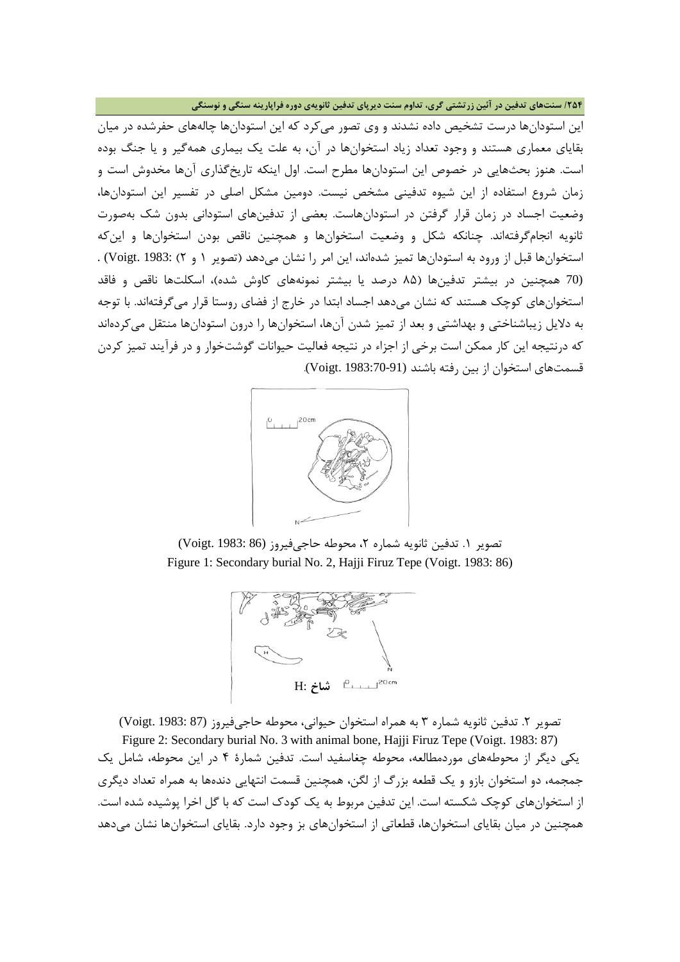**/254 سنتهاي تدفین در آئین زرتشتی گري، تداوم سنت دیرپاي تدفین ثانویهي دوره فراپارینه سنگی و نوسنگی**

این استودانها درست تشخیص داده نشدند و وي تصور میکرد که این استودانها چالههاي حفرشده در میان بقایاي معماري هستند و وجود تعداد زیاد استخوانها در آن، به علت یک بیماري همهگیر و یا جنگ بوده است. هنوز بحثهایی در خصوص این استودانها مطرح است. اول اینکه تاریخگذاري آنها مخدوش است و زمان شروع استفاده از این شیوه تدفینی مشخص نیست. دومین مشکل اصلی در تفسیر این استودانها، وضعیت اجساد در زمان قرار گرفتن در استودانهاست. بعضی از تدفینهاي استودانی بدون شک بهصورت ثانویه انجامگرفتهاند. چنانکه شکل و وضعیت استخوانها و همچنین ناقص بودن استخوانها و اینکه استخوانها قبل از ورود به استودانها تمیز شدهاند، این امر را نشان میدهد (تصویر 1 و 2) 1983: .Voigt (. (70 همچنین در بیشتر تدفینها (85 درصد یا بیشتر نمونههاي کاوش شده)، اسکلتها ناقص و فاقد استخوانهاي کوچک هستند که نشان میدهد اجساد ابتدا در خارج از فضاي روستا قرار میگرفتهاند. با توجه به دلایل زیباشناختی و بهداشتی و بعد از تمیز شدن آنها، استخوانها را درون استودانها منتقل میکردهاند که درنتیجه این کار ممکن است برخی از اجزاء در نتیجه فعالیت حیوانات گوشتخوار و در فرآیند تمیز کردن قسمتهاي استخوان از بین رفته باشند (1983:70-91 .Voigt(.



تصویر ١. تدفین ثانویه شماره ٢، محوطه حاجیفیروز (Voigt. 1983: 86) Figure 1: Secondary burial No. 2, Hajji Firuz Tepe (Voigt. 1983: 86)



تصویر ۲. تدفین ثانویه شماره ۳ به همراه استخوان حیوانی، محوطه حاجیفیروز (87 :Voigt. 1983)

Figure 2: Secondary burial No. 3 with animal bone, Hajji Firuz Tepe (Voigt. 1983: 87) یکی دیگر از محوطههاي موردمطالعه، محوطه چغاسفید است. تدفین شمارة 4 در این محوطه، شامل یک جمجمه، دو استخوان بازو و یک قطعه بزرگ از لگن، همچنین قسمت انتهایی دندهها به همراه تعداد دیگري از استخوانهاي کوچک شکسته است. این تدفین مربوط به یک کودك است که با گل اخرا پوشیده شده است. همچنین در میان بقایاي استخوانها، قطعاتی از استخوانهاي بز وجود دارد. بقایاي استخوانها نشان میدهد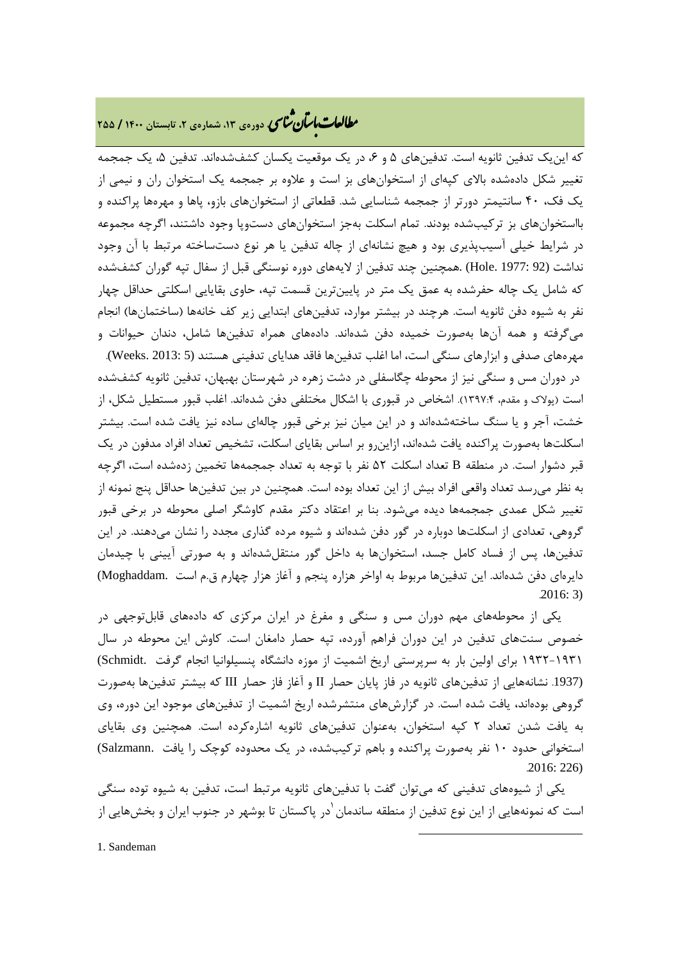# **، دورهي ،13 شمارهي ،2 تابستان <sup>1400</sup> / <sup>255</sup>** � ی نا� �طا با� تان �عات

که این یک تدفین ثانویه است. تدفینهای ۵ و ۶، در یک موقعیت یکسان کشفشدهاند. تدفین ۵، یک جمجمه تغییر شکل دادهشده بالاي کپهاي از استخوانهاي بز است و علاوه بر جمجمه یک استخوان ران و نیمی از یک فک، 40 سانتیمتر دورتر از جمجمه شناسایی شد. قطعاتی از استخوانهاي بازو، پاها و مهرهها پراکنده و بااستخوانهاي بز ترکیبشده بودند. تمام اسکلت بهجز استخوانهاي دستوپا وجود داشتند، اگرچه مجموعه در شرایط خیلی آسیبپذیري بود و هیچ نشانهاي از چاله تدفین یا هر نوع دستساخته مرتبط با آن وجود نداشت (92 :Hole. 1977) .همچنین چند تدفین از لایههای دوره نوسنگی قبل از سفال تپه گوران کشفشده که شامل یک چاله حفرشده به عمق یک متر در پایینترین قسمت تپه، حاوي بقایایی اسکلتی حداقل چهار نفر به شیوه دفن ثانویه است. هرچند در بیشتر موارد، تدفینهاي ابتدایی زیر کف خانهها (ساختمانها) انجام میگرفته و همه آنها بهصورت خمیده دفن شدهاند. دادههاي همراه تدفینها شامل، دندان حیوانات و مهرههاي صدفی و ابزارهاي سنگی است، اما اغلب تدفینها فاقد هدایاي تدفینی هستند (5 2013: .Weeks(. در دوران مس و سنگی نیز از محوطه چگاسفلی در دشت زهره در شهرستان بهبهان، تدفین ثانویه کشفشده است (پولاك و مقدم، 1397:4). اشخاص در قبوري با اشکال مختلفی دفن شدهاند. اغلب قبور مستطیل شکل، از خشت، آجر و یا سنگ ساختهشدهاند و در این میان نیز برخی قبور چالهاي ساده نیز یافت شده است. بیشتر اسکلتها بهصورت پراکنده یافت شدهاند، ازاینرو بر اساس بقایاي اسکلت، تشخیص تعداد افراد مدفون در یک قبر دشوار است. در منطقه B تعداد اسکلت 52 نفر با توجه به تعداد جمجمهها تخمین زدهشده است، اگرچه به نظر میرسد تعداد واقعی افراد بیش از این تعداد بوده است. همچنین در بین تدفینها حداقل پنج نمونه از تغییر شکل عمدي جمجمهها دیده میشود. بنا بر اعتقاد دکتر مقدم کاوشگر اصلی محوطه در برخی قبور گروهی، تعدادي از اسکلتها دوباره در گور دفن شدهاند و شیوه مرده گذاري مجدد را نشان میدهند. در این تدفینها، پس از فساد کامل جسد، استخوانها به داخل گور منتقلشدهاند و به صورتی آیینی با چیدمان دایرهاي دفن شدهاند. این تدفینها مربوط به اواخر هزاره پنجم و آغاز هزار چهارم ق.م است .Moghaddam( .2016: 3)

 یکی از محوطههاي مهم دوران مس و سنگی و مفرغ در ایران مرکزي که دادههاي قابلتوجهی در خصوص سنتهاي تدفین در این دوران فراهم آورده، تپه حصار دامغان است. کاوش این محوطه در سال 1932-1931 براي اولین بار به سرپرستی اریخ اشمیت از موزه دانشگاه پنسیلوانیا انجام گرفت .Schmidt( (.1937 نشانههایی از تدفینهاي ثانویه در فاز پایان حصار II و آغاز فاز حصار III که بیشتر تدفینها بهصورت گروهی بودهاند، یافت شده است. در گزارشهاي منتشرشده اریخ اشمیت از تدفینهاي موجود این دوره، وي به یافت شدن تعداد 2 کپه استخوان، بهعنوان تدفینهاي ثانویه اشارهکرده است. همچنین وي بقایاي استخوانی حدود 10 نفر بهصورت پراکنده و باهم ترکیبشده، در یک محدوده کوچک را یافت .Salzmann( .2016: 226)

<span id="page-10-0"></span> یکی از شیوههاي تدفینی که میتوان گفت با تدفینهاي ثانویه مرتبط است، تدفین به شیوه توده سنگی است که نمونههایی از این نوع تدفین از منطقه ساندمان ٰدر پاکستان تا بوشهر در جنوب ایران و بخشهایی از

**.**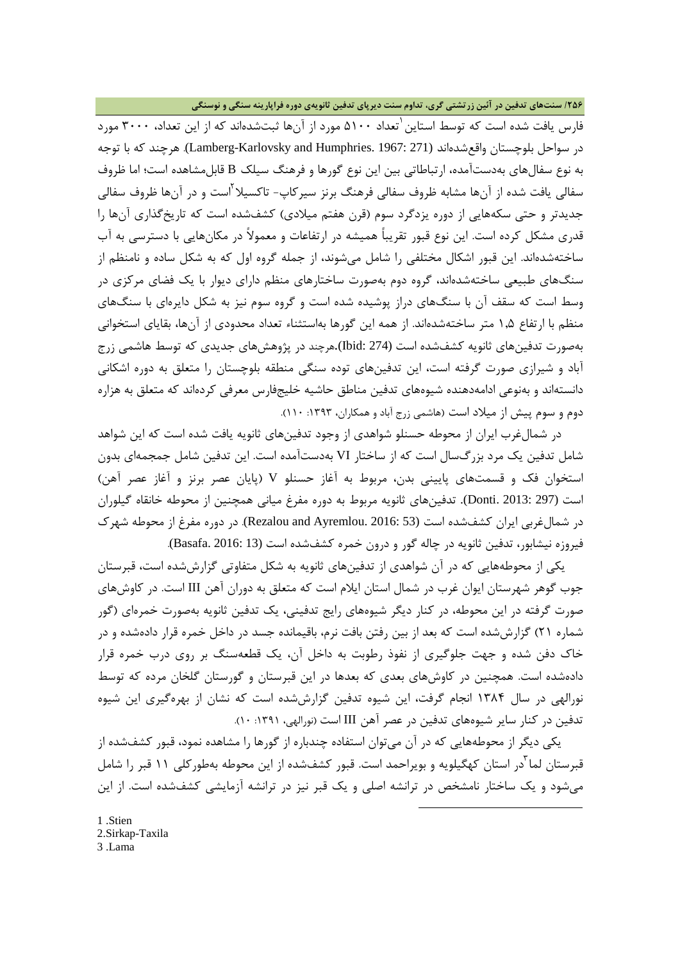#### **/256 سنتهاي تدفین در آئین زرتشتی گري، تداوم سنت دیرپاي تدفین ثانویهي دوره فراپارینه سنگی و نوسنگی**

فارس یافت شده است که توسط استاین <sup>'</sup>تعداد ۵۱۰۰ مورد از آنها ثبتشدهاند که از این تعداد، ۳۰۰۰ مورد در سواحل بلوچستان واقعشدهاند (271 1967: .Humphries and Karlovsky-Lamberg(. هرچند که با توجه به نوع سفالهاي بهدستآمده، ارتباطاتی بین این نوع گورها و فرهنگ سیلک B قابلمشاهده است؛ اما ظروف سفالی یافت شده از آنها مشابه ظروف سفالی فرهنگ برنز سیرکاپ- تاکسیلا<sup>۲</sup>است و در آنها ظروف سفالی جدیدتر و حتی سکههایی از دوره یزدگرد سوم (قرن هفتم میلادي) کشفشده است که تاریخگذاري آنها را قدري مشکل کرده است. این نوع قبور تقریباً همیشه در ارتفاعات و معمولاً در مکانهایی با دسترسی به آب ساختهشدهاند. این قبور اشکال مختلفی را شامل میشوند، از جمله گروه اول که به شکل ساده و نامنظم از سنگهاي طبیعی ساختهشدهاند، گروه دوم بهصورت ساختارهاي منظم داراي دیوار با یک فضاي مرکزي در وسط است که سقف آن با سنگهاي دراز پوشیده شده است و گروه سوم نیز به شکل دایرهاي با سنگهاي منظم با ارتفاع 1,5 متر ساختهشدهاند. از همه این گورها بهاستثناء تعداد محدودي از آنها، بقایاي استخوانی بهصورت تدفینهاي ثانویه کشفشده است (274 :Ibid(.هرچند در پژوهشهاي جدیدي که توسط هاشمی زرج آباد و شیرازي صورت گرفته است، این تدفینهاي توده سنگی منطقه بلوچستان را متعلق به دوره اشکانی دانستهاند و بهنوعی ادامهدهنده شیوههاي تدفین مناطق حاشیه خلیجفارس معرفی کردهاند که متعلق به هزاره دوم و سوم پیش از میلاد است (هاشمی زرج آباد و همکاران، :1393 110).

 در شمالغرب ایران از محوطه حسنلو شواهدي از وجود تدفینهاي ثانویه یافت شده است که این شواهد شامل تدفین یک مرد بزرگسال است که از ساختار VI بهدستآمده است. این تدفین شامل جمجمهاي بدون استخوان فک و قسمتهاي پایینی بدن، مربوط به آغاز حسنلو V) پایان عصر برنز و آغاز عصر آهن) است (297 2013: .Donti(. تدفینهاي ثانویه مربوط به دوره مفرغ میانی همچنین از محوطه خانقاه گیلوران در شمالغربی ایران کشفشده است (Rezalou and Ayremlou. 2016: 53). در دوره مفرغ از محوطه شهرک فیروزه نیشابور، تدفین ثانویه در چاله گور و درون خمره کشفشده است (13 2016: .Basafa(.

 یکی از محوطههایی که در آن شواهدي از تدفینهاي ثانویه به شکل متفاوتی گزارششده است، قبرستان جوب گوهر شهرستان ایوان غرب در شمال استان ایلام است که متعلق به دوران آهن III است. در کاوشهاي صورت گرفته در این محوطه، در کنار دیگر شیوههاي رایج تدفینی، یک تدفین ثانویه بهصورت خمرهاي (گور شماره 21) گزارششده است که بعد از بین رفتن بافت نرم، باقیمانده جسد در داخل خمره قرار دادهشده و در خاك دفن شده و جهت جلوگیري از نفوذ رطوبت به داخل آن، یک قطعهسنگ بر روي درب خمره قرار دادهشده است. همچنین در کاوشهاي بعدي که بعدها در این قبرستان و گورستان گلخان مرده که توسط نورالهی در سال 1384 انجام گرفت، این شیوه تدفین گزارششده است که نشان از بهرهگیري این شیوه تدفین در کنار سایر شیوههاي تدفین در عصر آهن III است (نورالهی، :1391 10).

 یکی دیگر از محوطههایی که در آن میتوان استفاده چندباره از گورها را مشاهده نمود، قبور کشفشده از قبرستان لما <sup>آ</sup>در استان کهگیلویه و بویراحمد است. قبور کشفشده از این محوطه بهطورکلی ۱۱ قبر را شامل میشود و یک ساختار نامشخص در ترانشه اصلی و یک قبر نیز در ترانشه آزمایشی کشفشده است. از این

**.** 

<span id="page-11-2"></span><span id="page-11-1"></span><span id="page-11-0"></span>[1](#page-11-2) .Stien 2.Sirkap-Taxila 3 .Lama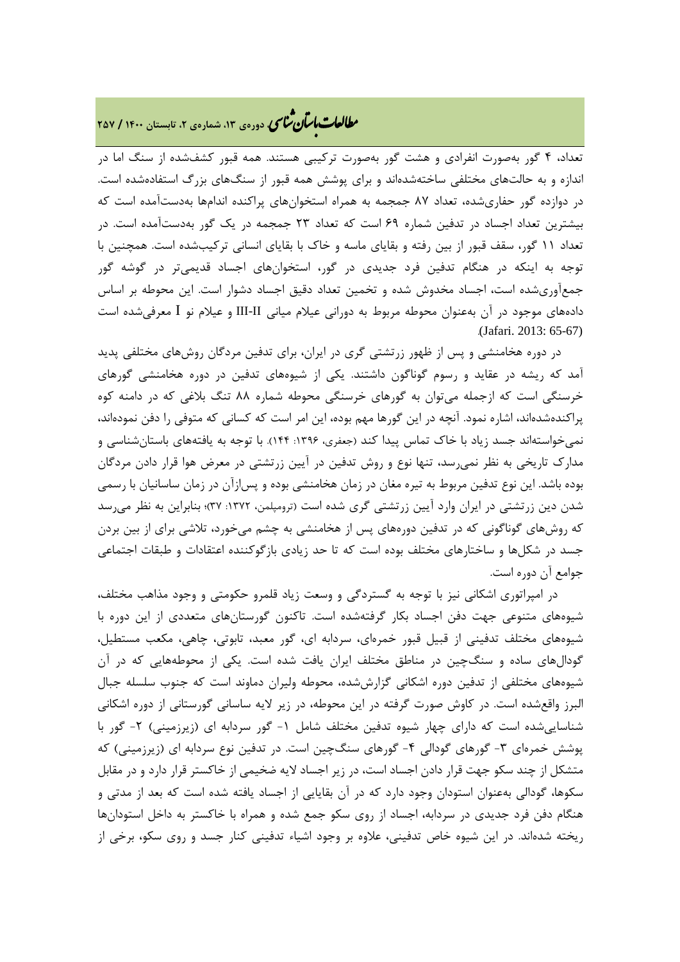### **، دورهي ،13 شمارهي ،2 تابستان <sup>1400</sup> / <sup>257</sup>** � ی نا� �طا با� تان �عات

تعداد، 4 گور بهصورت انفرادي و هشت گور بهصورت ترکیبی هستند. همه قبور کشفشده از سنگ اما در اندازه و به حالتهاي مختلفی ساختهشدهاند و براي پوشش همه قبور از سنگهاي بزرگ استفادهشده است. در دوازده گور حفاريشده، تعداد 87 جمجمه به همراه استخوانهاي پراکنده اندامها بهدستآمده است که بیشترین تعداد اجساد در تدفین شماره 69 است که تعداد 23 جمجمه در یک گور بهدستآمده است. در تعداد 11 گور، سقف قبور از بین رفته و بقایاي ماسه و خاك با بقایاي انسانی ترکیبشده است. همچنین با توجه به اینکه در هنگام تدفین فرد جدیدي در گور، استخوانهاي اجساد قدیمیتر در گوشه گور جمعآوريشده است، اجساد مخدوش شده و تخمین تعداد دقیق اجساد دشوار است. این محوطه بر اساس دادههاي موجود در آن بهعنوان محوطه مربوط به دورانی عیلام میانی II-III و عیلام نو I معرفیشده است .(Jafari. 2013: 65-67)

 در دوره هخامنشی و پس از ظهور زرتشتی گري در ایران، براي تدفین مردگان روشهاي مختلفی پدید آمد که ریشه در عقاید و رسوم گوناگون داشتند. یکی از شیوههاي تدفین در دوره هخامنشی گورهاي خرسنگی است که ازجمله میتوان به گورهاي خرسنگی محوطه شماره 88 تنگ بلاغی که در دامنه کوه پراکندهشدهاند، اشاره نمود. آنچه در این گورها مهم بوده، این امر است که کسانی که متوفی را دفن نمودهاند، نمیخواستهاند جسد زیاد با خاك تماس پیدا کند (جعفري، :1396 144). با توجه به یافتههاي باستانشناسی و مدارك تاریخی به نظر نمیرسد، تنها نوع و روش تدفین در آیین زرتشتی در معرض هوا قرار دادن مردگان بوده باشد. این نوع تدفین مربوط به تیره مغان در زمان هخامنشی بوده و پسازآن در زمان ساسانیان با رسمی شدن دین زرتشتی در ایران وارد آیین زرتشتی گري شده است (ترومپلمن، :1372 37)؛ بنابراین به نظر میرسد که روشهاي گوناگونی که در تدفین دورههاي پس از هخامنشی به چشم میخورد، تلاشی براي از بین بردن جسد در شکلها و ساختارهاي مختلف بوده است که تا حد زیادي بازگوکننده اعتقادات و طبقات اجتماعی جوامع آن دوره است.

 در امپراتوري اشکانی نیز با توجه به گستردگی و وسعت زیاد قلمرو حکومتی و وجود مذاهب مختلف، شیوههاي متنوعی جهت دفن اجساد بکار گرفتهشده است. تاکنون گورستانهاي متعددي از این دوره با شیوههاي مختلف تدفینی از قبیل قبور خمرهاي، سردابه اي، گور معبد، تابوتی، چاهی، مکعب مستطیل، گودالهاي ساده و سنگچین در مناطق مختلف ایران یافت شده است. یکی از محوطههایی که در آن شیوههاي مختلفی از تدفین دوره اشکانی گزارششده، محوطه ولیران دماوند است که جنوب سلسله جبال البرز واقعشده است. در کاوش صورت گرفته در این محوطه، در زیر لایه ساسانی گورستانی از دوره اشکانی شناساییشده است که داراي چهار شیوه تدفین مختلف شامل -1 گور سردابه اي (زیرزمینی) -2 گور با پوشش خمرهای ۳- گورهای گودالی ۴- گورهای سنگچین است. در تدفین نوع سردابه ای (زیرزمینی) که متشکل از چند سکو جهت قرار دادن اجساد است، در زیر اجساد لایه ضخیمی از خاکستر قرار دارد و در مقابل سکوها، گودالی بهعنوان استودان وجود دارد که در آن بقایایی از اجساد یافته شده است که بعد از مدتی و هنگام دفن فرد جدیدي در سردابه، اجساد از روي سکو جمع شده و همراه با خاکستر به داخل استودانها ریخته شدهاند. در این شیوه خاص تدفینی، علاوه بر وجود اشیاء تدفینی کنار جسد و روي سکو، برخی از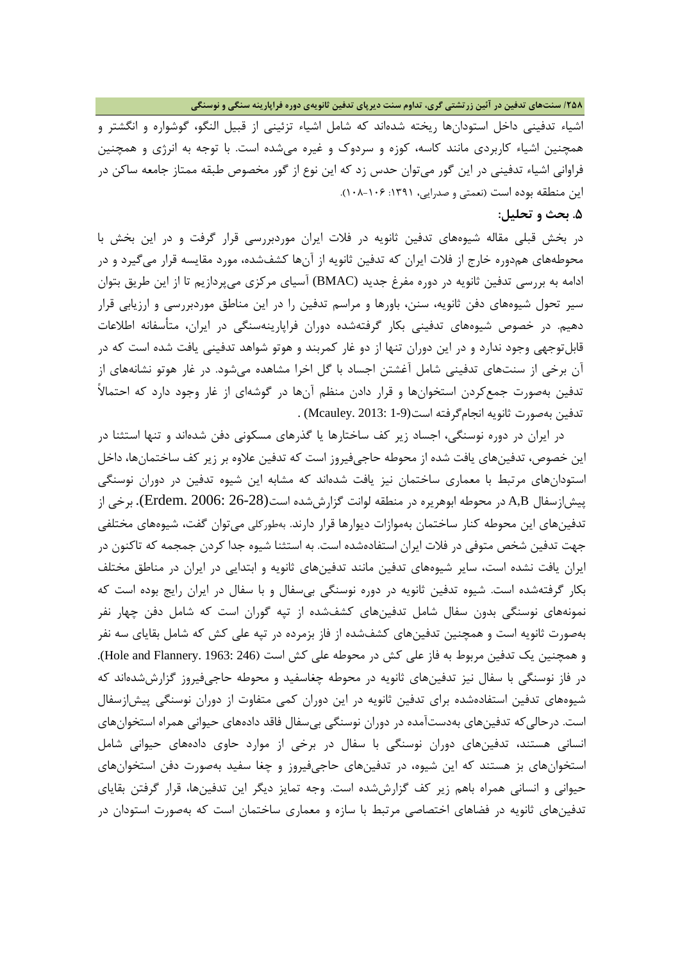**/258 سنتهاي تدفین در آئین زرتشتی گري، تداوم سنت دیرپاي تدفین ثانویهي دوره فراپارینه سنگی و نوسنگی**

اشیاء تدفینی داخل استودانها ریخته شدهاند که شامل اشیاء تزئینی از قبیل النگو، گوشواره و انگشتر و همچنین اشیاء کاربردي مانند کاسه، کوزه و سردوك و غیره میشده است. با توجه به انرژي و همچنین فراوانی اشیاء تدفینی در این گور میتوان حدس زد که این نوع از گور مخصوص طبقه ممتاز جامعه ساکن در این منطقه بوده است (نعمتی و صدرایی، :1391 108-106).

#### **.5 بحث و تحلیل:**

در بخش قبلی مقاله شیوههاي تدفین ثانویه در فلات ایران موردبررسی قرار گرفت و در این بخش با محوطههاي همدوره خارج از فلات ایران که تدفین ثانویه از آنها کشفشده، مورد مقایسه قرار میگیرد و در ادامه به بررسی تدفین ثانویه در دوره مفرغ جدید (BMAC (آسیاي مرکزي میپردازیم تا از این طریق بتوان سیر تحول شیوههاي دفن ثانویه، سنن، باورها و مراسم تدفین را در این مناطق موردبررسی و ارزیابی قرار دهیم. در خصوص شیوههاي تدفینی بکار گرفتهشده دوران فراپارینهسنگی در ایران، متأسفانه اطلاعات قابلتوجهی وجود ندارد و در این دوران تنها از دو غار کمربند و هوتو شواهد تدفینی یافت شده است که در آن برخی از سنتهاي تدفینی شامل آغشتن اجساد با گل اخرا مشاهده میشود. در غار هوتو نشانههاي از تدفین بهصورت جمعکردن استخوانها و قرار دادن منظم آنها در گوشهاي از غار وجود دارد که احتمالاً تدفین بهصورت ثانویه انجامگرفته است(1-9 2013: .Mcauley (.

 در ایران در دوره نوسنگی، اجساد زیر کف ساختارها یا گذرهاي مسکونی دفن شدهاند و تنها استثنا در این خصوص، تدفینهاي یافت شده از محوطه حاجیفیروز است که تدفین علاوه بر زیر کف ساختمانها، داخل استودانهاي مرتبط با معماري ساختمان نیز یافت شدهاند که مشابه این شیوه تدفین در دوران نوسنگی پیشازسفال B,A در محوطه ابوهریره در منطقه لوانت گزارششده است(26-28 2006: .Erdem(. برخی از تدفینهاي این محوطه کنار ساختمان بهموازات دیوارها قرار دارند. بهطورکلی میتوان گفت، شیوههاي مختلفی جهت تدفین شخص متوفی در فلات ایران استفادهشده است. به استثنا شیوه جدا کردن جمجمه که تاکنون در ایران یافت نشده است، سایر شیوههاي تدفین مانند تدفینهاي ثانویه و ابتدایی در ایران در مناطق مختلف بکار گرفتهشده است. شیوه تدفین ثانویه در دوره نوسنگی بیسفال و با سفال در ایران رایج بوده است که نمونههاي نوسنگی بدون سفال شامل تدفینهاي کشفشده از تپه گوران است که شامل دفن چهار نفر بهصورت ثانویه است و همچنین تدفینهاي کشفشده از فاز بزمرده در تپه علی کش که شامل بقایاي سه نفر و همچنین یک تدفین مربوط به فاز علی کش در محوطه علی کش است (246 :Hole and Flannery. 1963). در فاز نوسنگی با سفال نیز تدفینهاي ثانویه در محوطه چغاسفید و محوطه حاجیفیروز گزارششدهاند که شیوههاي تدفین استفادهشده براي تدفین ثانویه در این دوران کمی متفاوت از دوران نوسنگی پیشازسفال است. درحالیکه تدفینهاي بهدستآمده در دوران نوسنگی بیسفال فاقد دادههاي حیوانی همراه استخوانهاي انسانی هستند، تدفینهاي دوران نوسنگی با سفال در برخی از موارد حاوي دادههاي حیوانی شامل استخوانهاي بز هستند که این شیوه، در تدفینهاي حاجیفیروز و چغا سفید بهصورت دفن استخوانهاي حیوانی و انسانی همراه باهم زیر کف گزارششده است. وجه تمایز دیگر این تدفینها، قرار گرفتن بقایاي تدفینهاي ثانویه در فضاهاي اختصاصی مرتبط با سازه و معماري ساختمان است که بهصورت استودان در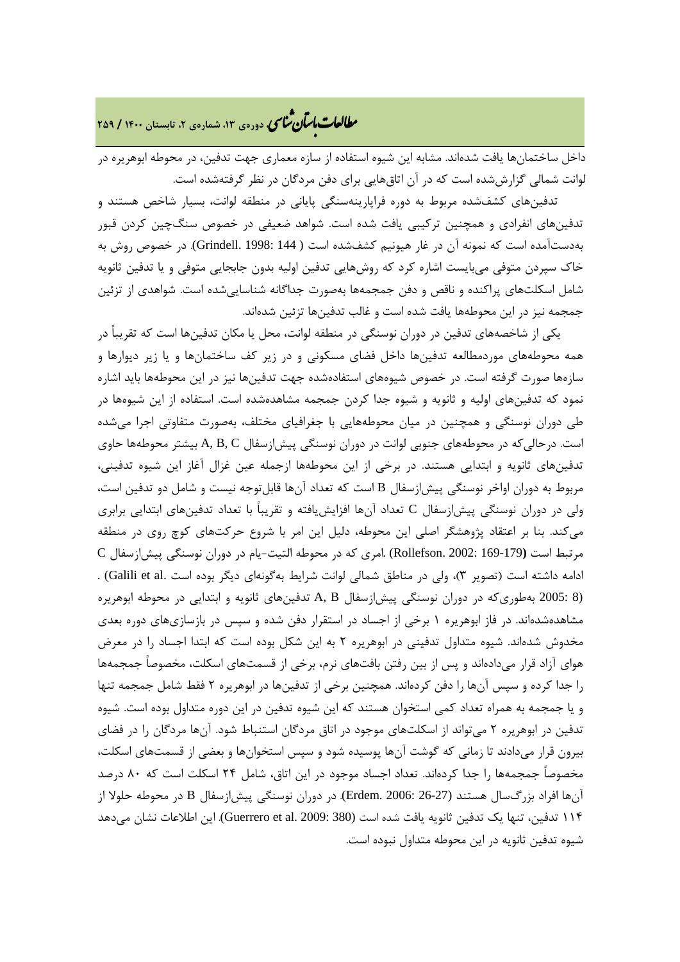### **، دورهي ،13 شمارهي ،2 تابستان <sup>1400</sup> / <sup>259</sup>** � ی نا� �طا با� تان �عات

داخل ساختمانها یافت شدهاند. مشابه این شیوه استفاده از سازه معماري جهت تدفین، در محوطه ابوهریره در لوانت شمالی گزارششده است که در آن اتاقهایی براي دفن مردگان در نظر گرفتهشده است.

 تدفینهاي کشفشده مربوط به دوره فراپارینهسنگی پایانی در منطقه لوانت، بسیار شاخص هستند و تدفینهاي انفرادي و همچنین ترکیبی یافت شده است. شواهد ضعیفی در خصوص سنگچین کردن قبور بهدستآمده است که نمونه آن در غار هیونیم کشفشده است ( 144 1998: .Grindell(. در خصوص روش به خاك سپردن متوفی میبایست اشاره کرد که روشهایی تدفین اولیه بدون جابجایی متوفی و یا تدفین ثانویه شامل اسکلتهاي پراکنده و ناقص و دفن جمجمهها بهصورت جداگانه شناساییشده است. شواهدي از تزئین جمجمه نیز در این محوطهها یافت شده است و غالب تدفینها تزئین شدهاند.

 یکی از شاخصههاي تدفین در دوران نوسنگی در منطقه لوانت، محل یا مکان تدفینها است که تقریباً در همه محوطههاي موردمطالعه تدفینها داخل فضاي مسکونی و در زیر کف ساختمانها و یا زیر دیوارها و سازهها صورت گرفته است. در خصوص شیوههاي استفادهشده جهت تدفینها نیز در این محوطهها باید اشاره نمود که تدفینهاي اولیه و ثانویه و شیوه جدا کردن جمجمه مشاهدهشده است. استفاده از این شیوهها در طی دوران نوسنگی و همچنین در میان محوطههایی با جغرافیاي مختلف، بهصورت متفاوتی اجرا میشده است. درحالیکه در محوطههاي جنوبی لوانت در دوران نوسنگی پیشازسفال C ,B ,A بیشتر محوطهها حاوي تدفینهاي ثانویه و ابتدایی هستند. در برخی از این محوطهها ازجمله عین غزال آغاز این شیوه تدفینی، مربوط به دوران اواخر نوسنگی پیشازسفال B است که تعداد آنها قابلتوجه نیست و شامل دو تدفین است، ولی در دوران نوسنگی پیشازسفال C تعداد آنها افزایشیافته و تقریباً با تعداد تدفینهاي ابتدایی برابري میکند. بنا بر اعتقاد پژوهشگر اصلی این محوطه، دلیل این امر با شروع حرکتهاي کوچ روي در منطقه مرتبط است **(**169-179 2002: .Rollefson (.امري که در محوطه التیت-یام در دوران نوسنگی پیشازسفال C ادامه داشته است (تصویر 3)، ولی در مناطق شمالی لوانت شرایط بهگونهاي دیگر بوده است .al et Galili (. (8 2005: بهطوريکه در دوران نوسنگی پیشازسفال B ,A تدفینهاي ثانویه و ابتدایی در محوطه ابوهریره مشاهدهشدهاند. در فاز ابوهریره 1 برخی از اجساد در استقرار دفن شده و سپس در بازسازيهاي دوره بعدي مخدوش شدهاند. شیوه متداول تدفینی در ابوهریره 2 به این شکل بوده است که ابتدا اجساد را در معرض هواي آزاد قرار میدادهاند و پس از بین رفتن بافتهاي نرم، برخی از قسمتهاي اسکلت، مخصوصاً جمجمهها را جدا کرده و سپس آنها را دفن کردهاند. همچنین برخی از تدفینها در ابوهریره 2 فقط شامل جمجمه تنها و یا جمجمه به همراه تعداد کمی استخوان هستند که این شیوه تدفین در این دوره متداول بوده است. شیوه تدفین در ابوهریره 2 میتواند از اسکلتهاي موجود در اتاق مردگان استنباط شود. آنها مردگان را در فضاي بیرون قرار میدادند تا زمانی که گوشت آنها پوسیده شود و سپس استخوانها و بعضی از قسمتهاي اسکلت، مخصوصاً جمجمهها را جدا کردهاند. تعداد اجساد موجود در این اتاق، شامل 24 اسکلت است که 80 درصد آنها افراد بزرگسال هستند (26-27 2006: .Erdem(. در دوران نوسنگی پیشازسفال B در محوطه حلولا از 114 تدفین، تنها یک تدفین ثانویه یافت شده است (380 2009: .al et Guerrero(. این اطلاعات نشان میدهد شیوه تدفین ثانویه در این محوطه متداول نبوده است.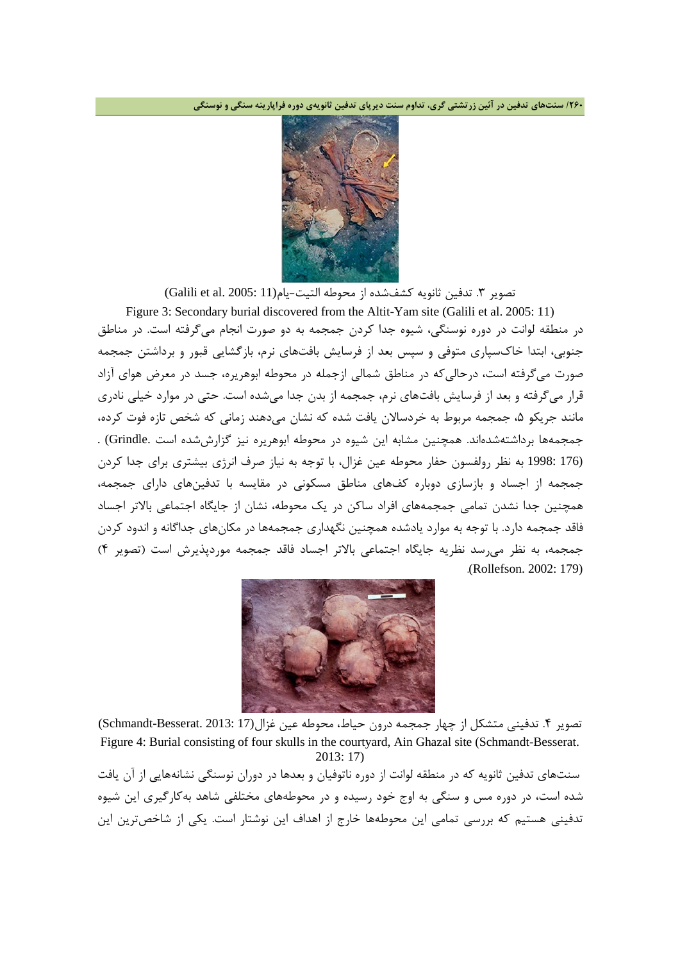**/260 سنتهاي تدفین در آئین زرتشتی گري، تداوم سنت دیرپاي تدفین ثانویهي دوره فراپارینه سنگی و نوسنگی**



تصویر ٣. تدفین ثانویه کشفشده از محوطه التیت-یام(11 :Galili et al. 2005)

Figure 3: Secondary burial discovered from the Altit-Yam site (Galili et al. 2005: 11) در منطقه لوانت در دوره نوسنگی، شیوه جدا کردن جمجمه به دو صورت انجام میگرفته است. در مناطق جنوبی، ابتدا خاكسپاري متوفی و سپس بعد از فرسایش بافتهاي نرم، بازگشایی قبور و برداشتن جمجمه صورت میگرفته است، درحالیکه در مناطق شمالی ازجمله در محوطه ابوهریره، جسد در معرض هواي آزاد قرار میگرفته و بعد از فرسایش بافتهاي نرم، جمجمه از بدن جدا میشده است. حتی در موارد خیلی نادري مانند جریکو ۵، جمجمه مربوط به خردسالان یافت شده که نشان میدهند زمانی که شخص تازه فوت کرده، جمجمهها برداشتهشدهاند. همچنین مشابه این شیوه در محوطه ابوهریره نیز گزارششده است .Grindle (. (176 1998: به نظر رولفسون حفار محوطه عین غزال، با توجه به نیاز صرف انرژي بیشتري براي جدا کردن جمجمه از اجساد و بازسازي دوباره کفهاي مناطق مسکونی در مقایسه با تدفینهاي داراي جمجمه، همچنین جدا نشدن تمامی جمجمههاي افراد ساکن در یک محوطه، نشان از جایگاه اجتماعی بالاتر اجساد فاقد جمجمه دارد. با توجه به موارد یادشده همچنین نگهداري جمجمهها در مکانهاي جداگانه و اندود کردن جمجمه، به نظر میرسد نظریه جایگاه اجتماعی بالاتر اجساد فاقد جمجمه موردپذیرش است (تصویر 4) .(Rollefson. 2002: 179)



تصویر ۴. تدفینی متشکل از چهار جمجمه درون حیاط، محوطه عین غزال(17 .Schmandt-Besserat. 2013: 17) Figure 4: Burial consisting of four skulls in the courtyard, Ain Ghazal site (Schmandt-Besserat. 2013: 17)

سنتهاي تدفین ثانویه که در منطقه لوانت از دوره ناتوفیان و بعدها در دوران نوسنگی نشانههایی از آن یافت شده است، در دوره مس و سنگی به اوج خود رسیده و در محوطههاي مختلفی شاهد بهکارگیري این شیوه تدفینی هستیم که بررسی تمامی این محوطهها خارج از اهداف این نوشتار است. یکی از شاخصترین این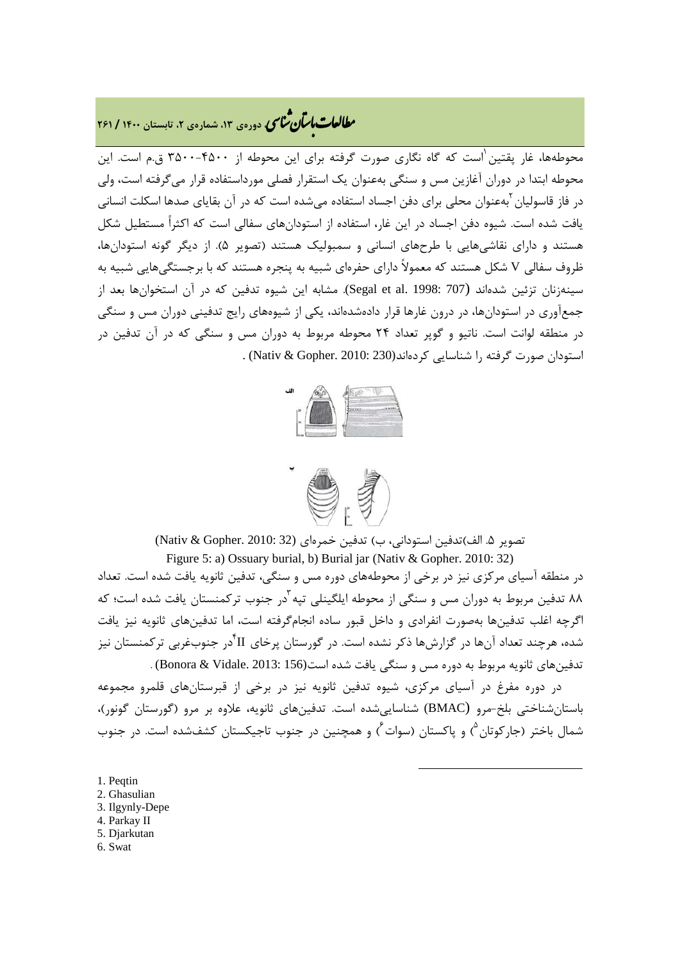## **، دورهي ،13 شمارهي ،2 تابستان <sup>1400</sup> / <sup>261</sup>** � ی نا� �طا با� تان �عات

محوطهها، غار پقتین ٰاست که گاه نگاری صورت گرفته برای این محوطه از ۴۵۰۰-۳۵۰۰ ق.م است. این محوطه ابتدا در دوران آغازین مس و سنگی بهعنوان یک استقرار فصلی مورداستفاده قرار میگرفته است، ولی در فاز قاسولیان <sup>آ</sup>بهعنوان محلی برای دفن اجساد استفاده می شده است که در آن بقایای صدها اسکلت انسانی یافت شده است. شیوه دفن اجساد در این غار، استفاده از استودانهاي سفالی است که اکثراً مستطیل شکل هستند و داراي نقاشیهایی با طرحهاي انسانی و سمبولیک هستند (تصویر 5). از دیگر گونه استودانها، ظروف سفالی V شکل هستند که معمولاً داراي حفرهاي شبیه به پنجره هستند که با برجستگیهایی شبیه به سینهزنان تزئین شدهاند (707 :Segal et al. 1998). مشابه این شیوه تدفین که در آن استخوانها بعد از جمعآوري در استودانها، در درون غارها قرار دادهشدهاند، یکی از شیوههاي رایج تدفینی دوران مس و سنگی در منطقه لوانت است. ناتیو و گوپر تعداد 24 محوطه مربوط به دوران مس و سنگی که در آن تدفین در استودان صورت گرفته را شناسایی کردهاند(230 2010: .Gopher & Nativ (.





تصویر .5 الف)تدفین استودانی، ب) تدفین خمرهاي (32 2010: .Gopher & Nativ(

Figure 5: a) Ossuary burial, b) Burial jar (Nativ & Gopher. 2010: 32) در منطقه آسیاي مرکزي نیز در برخی از محوطههاي دوره مس و سنگی، تدفین ثانویه یافت شده است. تعداد ۸۸ تدفین مربوط به دوران مس و سنگی از محوطه ایلگینلی تیه <sup>آ</sup>در جنوب ترکمنستان یافت شده است؛ که اگرچه اغلب تدفینها بهصورت انفرادي و داخل قبور ساده انجامگرفته است، اما تدفینهاي ثانویه نیز یافت شده، هرچند تعداد آنها در گزارشها ذکر نشده است. در گورستان پرخای II در جنوبغربی ترکمنستان نیز تدفینهاي ثانویه مربوط به دوره مس و سنگی یافت شده است(156 2013: .Vidale & Bonora (.

 در دوره مفرغ در آسیاي مرکزي، شیوه تدفین ثانویه نیز در برخی از قبرستانهاي قلمرو مجموعه باستانشناختی بلخ-مرو (BMAC (شناساییشده است. تدفینهاي ثانویه، علاوه بر مرو (گورستان گونور)، شمال باختر (جارکوتان<sup>۵</sup>) و پاکستان (سوات<sup>۶</sup>) و همچنین در جنوب تاجیکستان کشفشده است. در جنوب

**.** 

- <span id="page-16-1"></span><span id="page-16-0"></span>1. Peqtin
- 2. Ghasulian
- <span id="page-16-2"></span>3. Ilgynly-Depe
- <span id="page-16-3"></span>4. Parkay II
- <span id="page-16-4"></span>5. Djarkutan
- <span id="page-16-5"></span>6. Swat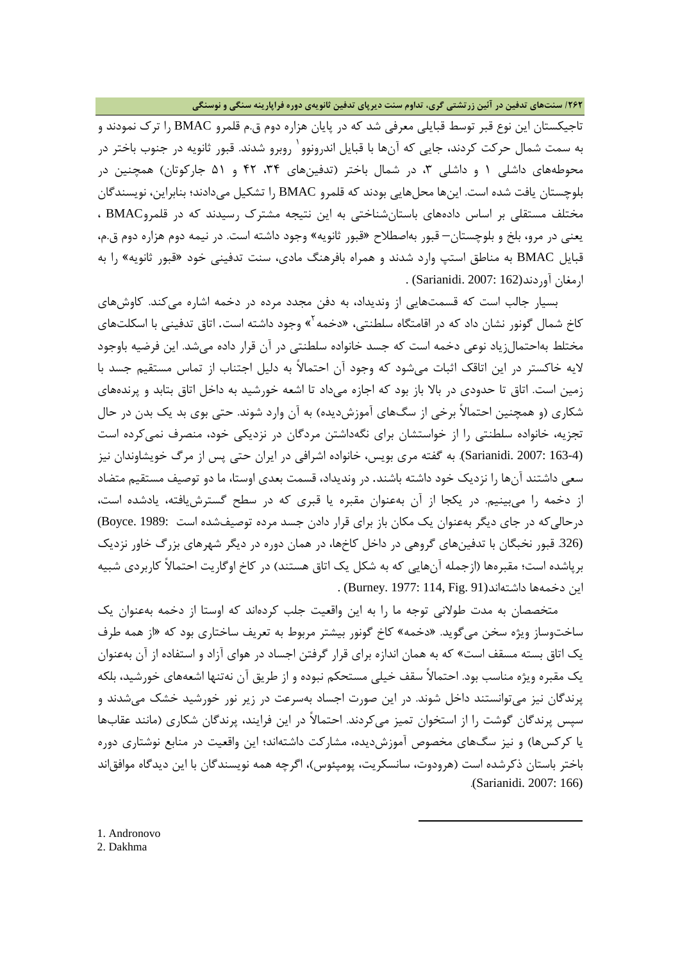#### **/262 سنتهاي تدفین در آئین زرتشتی گري، تداوم سنت دیرپاي تدفین ثانویهي دوره فراپارینه سنگی و نوسنگی**

تاجیکستان این نوع قبر توسط قبایلی معرفی شد که در پایان هزاره دوم ق.م قلمرو BMAC را ترك نمودند و به سمت شمال حرکت کردند، جایی که آنها با قبایل اندرونوو <sup>۱</sup> روبرو شدند. قبور ثانویه در جنوب باختر در محوطههای داشلی ۱ و داشلی ۳، در شمال باختر (تدفینهای ۳۴، ۴۲ و ۵۱ جارکوتان) همچنین در بلوچستان یافت شده است. اینها محلهایی بودند که قلمرو BMAC را تشکیل میدادند؛ بنابراین، نویسندگان مختلف مستقلی بر اساس دادههاي باستانشناختی به این نتیجه مشترك رسیدند که در قلمروBMAC ، یعنی در مرو، بلخ و بلوچستان– قبور بهاصطلاح «قبور ثانویه» وجود داشته است. در نیمه دوم هزاره دوم ق.م، قبایل BMAC به مناطق استپ وارد شدند و همراه بافرهنگ مادي، سنت تدفینی خود «قبور ثانویه» را به ارمغان آوردند(162 :Sarianidi. 2007) .

 بسیار جالب است که قسمتهایی از وندیداد، به دفن مجدد مرده در دخمه اشاره میکند. کاوشهاي کاخ شمال گونور نشان داد که در اقامتگاه سلطنتی، «دخمه<sup>۲</sup>» وجود داشته است. اتاق تدفینی با اسکلتهای مختلط بهاحتمالزیاد نوعی دخمه است که جسد خانواده سلطنتی در آن قرار داده میشد. این فرضیه باوجود لایه خاکستر در این اتاقک اثبات میشود که وجود آن احتمالاً به دلیل اجتناب از تماس مستقیم جسد با زمین است. اتاق تا حدودي در بالا باز بود که اجازه میداد تا اشعه خورشید به داخل اتاق بتابد و پرندههاي شکاري (و همچنین احتمالاً برخی از سگهاي آموزشدیده) به آن وارد شوند. حتی بوي بد یک بدن در حال تجزیه، خانواده سلطنتی را از خواستشان براي نگهداشتن مردگان در نزدیکی خود، منصرف نمیکرده است (163-4 2007: .Sarianidi(. به گفته مري بویس، خانواده اشرافی در ایران حتی پس از مرگ خویشاوندان نیز سعی داشتند آنها را نزدیک خود داشته باشند. در وندیداد، قسمت بعدي اوستا، ما دو توصیف مستقیم متضاد از دخمه را میبینیم. در یکجا از آن بهعنوان مقبره یا قبري که در سطح گسترشیافته، یادشده است، درحالیکه در جاي دیگر بهعنوان یک مکان باز براي قرار دادن جسد مرده توصیفشده است 1989: .Boyce( (.326 قبور نخبگان با تدفینهاي گروهی در داخل کاخها، در همان دوره در دیگر شهرهاي بزرگ خاور نزدیک برپاشده است؛ مقبرهها (ازجمله آنهایی که به شکل یک اتاق هستند) در کاخ اوگاریت احتمالاً کاربردي شبیه این دخمهها داشتهاند(81 .Burney. 1977: 114, Fig.

 متخصصان به مدت طولانی توجه ما را به این واقعیت جلب کردهاند که اوستا از دخمه بهعنوان یک ساختوساز ویژه سخن میگوید. «دخمه» کاخ گونور بیشتر مربوط به تعریف ساختاري بود که «از همه طرف یک اتاق بسته مسقف است» که به همان اندازه براي قرار گرفتن اجساد در هواي آزاد و استفاده از آن بهعنوان یک مقبره ویژه مناسب بود. احتمالاً سقف خیلی مستحکم نبوده و از طریق آن نهتنها اشعههاي خورشید، بلکه پرندگان نیز میتوانستند داخل شوند. در این صورت اجساد بهسرعت در زیر نور خورشید خشک میشدند و سپس پرندگان گوشت را از استخوان تمیز میکردند. احتمالاً در این فرایند، پرندگان شکاري (مانند عقابها یا کرکسها) و نیز سگهاي مخصوص آموزشدیده، مشارکت داشتهاند؛ این واقعیت در منابع نوشتاري دوره باختر باستان ذکرشده است (هرودوت، سانسکریت، پومپئوس)، اگرچه همه نویسندگان با این دیدگاه موافقاند .(Sarianidi. 2007: 166)

 $\overline{a}$ 

<span id="page-17-1"></span><span id="page-17-0"></span>1. Andronovo 2. Dakhma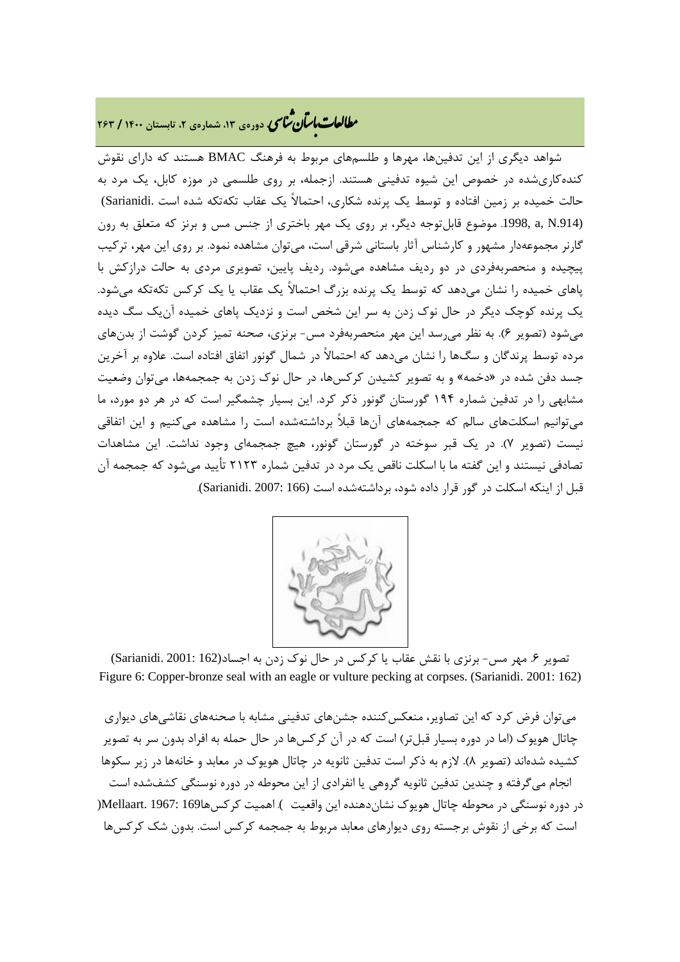## **، دورهي ،13 شمارهي ،2 تابستان <sup>1400</sup> / <sup>263</sup>** � ی نا� �طا با� تان �عات

 شواهد دیگري از این تدفینها، مهرها و طلسمهاي مربوط به فرهنگ BMAC هستند که داراي نقوش کندهکاريشده در خصوص این شیوه تدفینی هستند. ازجمله، بر روي طلسمی در موزه کابل، یک مرد به حالت خمیده بر زمین افتاده و توسط یک پرنده شکاري، احتمالاً یک عقاب تکهتکه شده است .Sarianidi( (.914N ,a .1998, موضوع قابلتوجه دیگر، بر روي یک مهر باختري از جنس مس و برنز که متعلق به رون گارنر مجموعهدار مشهور و کارشناس آثار باستانی شرقی است، میتوان مشاهده نمود. بر روي این مهر، ترکیب پیچیده و منحصربهفردي در دو ردیف مشاهده میشود. ردیف پایین، تصویري مردي به حالت درازکش با پاهاي خمیده را نشان میدهد که توسط یک پرنده بزرگ احتمالاً یک عقاب یا یک کرکس تکهتکه میشود. یک پرنده کوچک دیگر در حال نوك زدن به سر این شخص است و نزدیک پاهاي خمیده آنیک سگ دیده میشود (تصویر 6). به نظر میرسد این مهر منحصربهفرد مس- برنزي، صحنه تمیز کردن گوشت از بدنهاي مرده توسط پرندگان و سگها را نشان میدهد که احتمالاً در شمال گونور اتفاق افتاده است. علاوه بر آخرین جسد دفن شده در «دخمه» و به تصویر کشیدن کرکسها، در حال نوك زدن به جمجمهها، میتوان وضعیت مشابهی را در تدفین شماره 194 گورستان گونور ذکر کرد. این بسیار چشمگیر است که در هر دو مورد، ما میتوانیم اسکلتهاي سالم که جمجمههاي آنها قبلاً برداشتهشده است را مشاهده میکنیم و این اتفاقی نیست (تصویر 7). در یک قبر سوخته در گورستان گونور، هیچ جمجمهاي وجود نداشت. این مشاهدات تصادفی نیستند و این گفته ما با اسکلت ناقص یک مرد در تدفین شماره 2123 تأیید میشود که جمجمه آن قبل از اینکه اسکلت در گور قرار داده شود، برداشتهشده است (166 2007: .Sarianidi(.



تصویر ۶. مهر مس- برنزي با نقش عقاب یا کرکس در حال نوک زدن به اجساد(162 :Sarianidi. 2001) Figure 6: Copper-bronze seal with an eagle or vulture pecking at corpses. (Sarianidi. 2001: 162)

میتوان فرض کرد که این تصاویر، منعکسکننده جشنهاي تدفینی مشابه با صحنههاي نقاشیهاي دیواري چاتال هویوك (اما در دوره بسیار قبلتر) است که در آن کرکسها در حال حمله به افراد بدون سر به تصویر کشیده شدهاند (تصویر 8). لازم به ذکر است تدفین ثانویه در چاتال هویوك در معابد و خانهها در زیر سکوها انجام میگرفته و چندین تدفین ثانویه گروهی یا انفرادي از این محوطه در دوره نوسنگی کشفشده است در دوره نوسنگی در محوطه چاتال هویوك نشاندهنده این واقعیت ). اهمیت کرکسها169 1967: .Mellaart) است که برخی از نقوش برجسته روي دیوارهاي معابد مربوط به جمجمه کرکس است. بدون شک کرکسها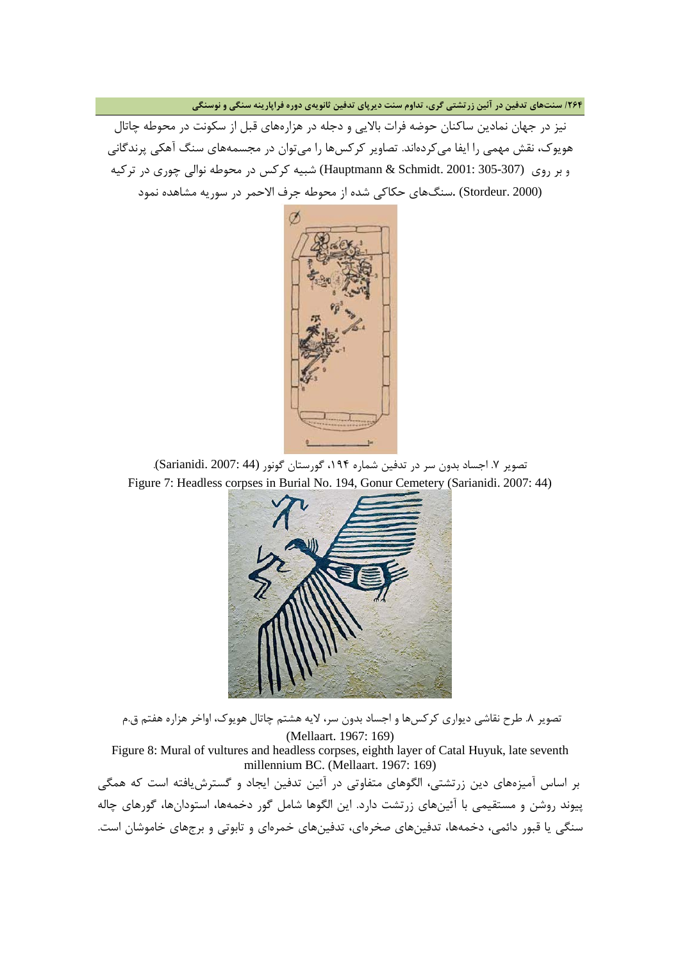**/264 سنتهاي تدفین در آئین زرتشتی گري، تداوم سنت دیرپاي تدفین ثانویهي دوره فراپارینه سنگی و نوسنگی**

نیز در جهان نمادین ساکنان حوضه فرات بالایی و دجله در هزارههاي قبل از سکونت در محوطه چاتال هویوك، نقش مهمی را ایفا میکردهاند. تصاویر کرکسها را میتوان در مجسمههاي سنگ آهکی پرندگانی و بر روي (305-307 2001: .Schmidt & Hauptmann (شبیه کرکس در محوطه نوالی چوري در ترکیه (2000 .Stordeur (.سنگهاي حکاکی شده از محوطه جرف الاحمر در سوریه مشاهده نمود



تصویر ۷. اجساد بدون سر در تدفین شماره ۱۹۴، گورستان گونور (Sarianidi. 2007: 44). Figure 7: Headless corpses in Burial No. 194, Gonur Cemetery (Sarianidi. 2007: 44)



تصویر .8 طرح نقاشی دیواري کرکسها و اجساد بدون سر، لایه هشتم چاتال هویوك، اواخر هزاره هفتم ق.م (Mellaart. 1967: 169)

Figure 8: Mural of vultures and headless corpses, eighth layer of Catal Huyuk, late seventh millennium BC. (Mellaart. 1967: 169)

بر اساس آمیزههاي دین زرتشتی، الگوهاي متفاوتی در آئین تدفین ایجاد و گسترشیافته است که همگی پیوند روشن و مستقیمی با آئینهاي زرتشت دارد. این الگوها شامل گور دخمهها، استودانها، گورهاي چاله سنگی یا قبور دائمی، دخمهها، تدفینهاي صخرهاي، تدفینهاي خمرهاي و تابوتی و برجهاي خاموشان است.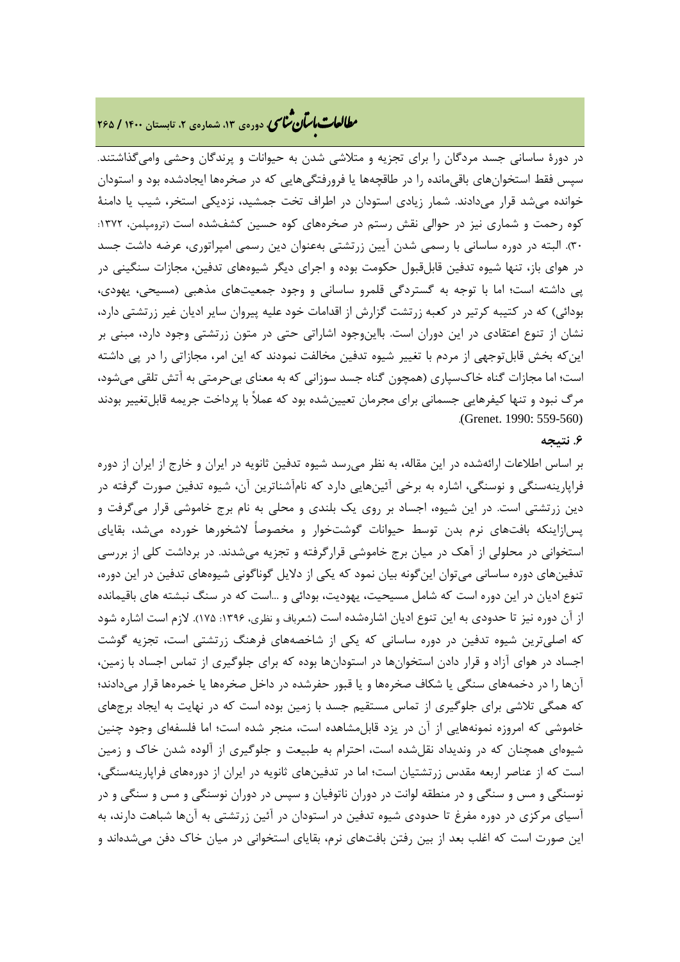### **، دورهي ،13 شمارهي ،2 تابستان <sup>1400</sup> / <sup>265</sup>** � ی نا� �طا با� تان �عات

در دورة ساسانی جسد مردگان را براي تجزیه و متلاشی شدن به حیوانات و پرندگان وحشی وامیگذاشتند. سپس فقط استخوانهاي باقیمانده را در طاقچهها یا فرورفتگیهایی که در صخرهها ایجادشده بود و استودان خوانده میشد قرار میدادند. شمار زیادي استودان در اطراف تخت جمشید، نزدیکی استخر، شیب یا دامنۀ کوه رحمت و شماري نیز در حوالی نقش رستم در صخرههاي کوه حسین کشفشده است (ترومپلمن، :1372 30). البته در دوره ساسانی با رسمی شدن آیین زرتشتی بهعنوان دین رسمی امپراتوري، عرضه داشت جسد در هواي باز، تنها شیوه تدفین قابلقبول حکومت بوده و اجراي دیگر شیوههاي تدفین، مجازات سنگینی در پی داشته است؛ اما با توجه به گستردگی قلمرو ساسانی و وجود جمعیتهاي مذهبی (مسیحی، یهودي، بودائی) که در کتیبه کرتیر در کعبه زرتشت گزارش از اقدامات خود علیه پیروان سایر ادیان غیر زرتشتی دارد، نشان از تنوع اعتقادي در این دوران است. بااینوجود اشاراتی حتی در متون زرتشتی وجود دارد، مبنی بر اینکه بخش قابلتوجهی از مردم با تغییر شیوه تدفین مخالفت نمودند که این امر، مجازاتی را در پی داشته است؛ اما مجازات گناه خاكسپاري (همچون گناه جسد سوزانی که به معناي بیحرمتی به آتش تلقی میشود، مرگ نبود و تنها کیفرهایی جسمانی براي مجرمان تعیینشده بود که عملاً با پرداخت جریمه قابلتغییر بودند .(Grenet. 1990: 559-560)

#### **.6 نتیجه**

بر اساس اطلاعات ارائهشده در این مقاله، به نظر میرسد شیوه تدفین ثانویه در ایران و خارج از ایران از دوره فراپارینهسنگی و نوسنگی، اشاره به برخی آئینهایی دارد که نامآشناترین آن، شیوه تدفین صورت گرفته در دین زرتشتی است. در این شیوه، اجساد بر روي یک بلندي و محلی به نام برج خاموشی قرار میگرفت و پسازاینکه بافتهاي نرم بدن توسط حیوانات گوشتخوار و مخصوصاً لاشخورها خورده میشد، بقایاي استخوانی در محلولی از آهک در میان برج خاموشی قرارگرفته و تجزیه میشدند. در برداشت کلی از بررسی تدفینهاي دوره ساسانی میتوان اینگونه بیان نمود که یکی از دلایل گوناگونی شیوههاي تدفین در این دوره، تنوع ادیان در این دوره است که شامل مسیحیت، یهودیت، بودائی و ...است که در سنگ نبشته هاي باقیمانده از آن دوره نیز تا حدودي به این تنوع ادیان اشارهشده است (شعرباف و نظري، :1396 175). لازم است اشاره شود که اصلیترین شیوه تدفین در دوره ساسانی که یکی از شاخصههاي فرهنگ زرتشتی است، تجزیه گوشت اجساد در هواي آزاد و قرار دادن استخوانها در استودانها بوده که براي جلوگیري از تماس اجساد با زمین، آنها را در دخمههاي سنگی یا شکاف صخرهها و یا قبور حفرشده در داخل صخرهها یا خمرهها قرار میدادند؛ که همگی تلاشی براي جلوگیري از تماس مستقیم جسد با زمین بوده است که در نهایت به ایجاد برجهاي خاموشی که امروزه نمونههایی از آن در یزد قابلمشاهده است، منجر شده است؛ اما فلسفهاي وجود چنین شیوهاي همچنان که در وندیداد نقلشده است، احترام به طبیعت و جلوگیري از آلوده شدن خاك و زمین است که از عناصر اربعه مقدس زرتشتیان است؛ اما در تدفینهاي ثانویه در ایران از دورههاي فراپارینهسنگی، نوسنگی و مس و سنگی و در منطقه لوانت در دوران ناتوفیان و سپس در دوران نوسنگی و مس و سنگی و در آسیاي مرکزي در دوره مفرغ تا حدودي شیوه تدفین در استودان در آئین زرتشتی به آنها شباهت دارند، به این صورت است که اغلب بعد از بین رفتن بافتهاي نرم، بقایاي استخوانی در میان خاك دفن میشدهاند و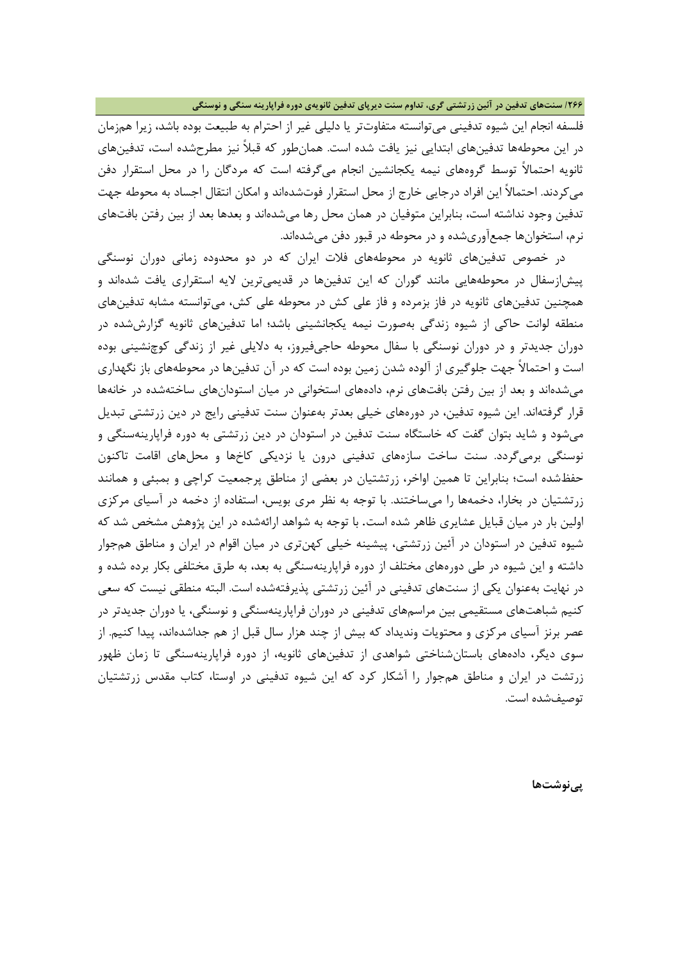#### **/266 سنتهاي تدفین در آئین زرتشتی گري، تداوم سنت دیرپاي تدفین ثانویهي دوره فراپارینه سنگی و نوسنگی**

<span id="page-21-0"></span>فلسفه انجام این شیوه تدفینی میتوانسته متفاوتتر یا دلیلی غیر از احترام به طبیعت بوده باشد، زیرا همزمان در این محوطهها تدفینهاي ابتدایی نیز یافت شده است. همانطور که قبلاً نیز مطرحشده است، تدفینهاي ثانویه احتمالاً توسط گروههاي نیمه یکجانشین انجام میگرفته است که مردگان را در محل استقرار دفن میکردند. احتمالاً این افراد درجایی خارج از محل استقرار فوتشدهاند و امکان انتقال اجساد به محوطه جهت تدفین وجود نداشته است، بنابراین متوفیان در همان محل رها میشدهاند و بعدها بعد از بین رفتن بافتهاي نرم، استخوانها جمعآوريشده و در محوطه در قبور دفن میشدهاند.

<span id="page-21-1"></span> در خصوص تدفینهاي ثانویه در محوطههاي فلات ایران که در دو محدوده زمانی دوران نوسنگی پیشازسفال در محوطههایی مانند گوران که این تدفینها در قدیمیترین لایه استقراري یافت شدهاند و همچنین تدفینهاي ثانویه در فاز بزمرده و فاز علی کش در محوطه علی کش، میتوانسته مشابه تدفینهاي منطقه لوانت حاکی از شیوه زندگی بهصورت نیمه یکجانشینی باشد؛ اما تدفینهاي ثانویه گزارششده در دوران جدیدتر و در دوران نوسنگی با سفال محوطه حاجیفیروز، به دلایلی غیر از زندگی کوچنشینی بوده است و احتمالاً جهت جلوگیري از آلوده شدن زمین بوده است که در آن تدفینها در محوطههاي باز نگهداري میشدهاند و بعد از بین رفتن بافتهاي نرم، دادههاي استخوانی در میان استودانهاي ساختهشده در خانهها قرار گرفتهاند. این شیوه تدفین، در دورههاي خیلی بعدتر بهعنوان سنت تدفینی رایج در دین زرتشتی تبدیل میشود و شاید بتوان گفت که خاستگاه سنت تدفین در استودان در دین زرتشتی به دوره فراپارینهسنگی و نوسنگی برمیگردد. سنت ساخت سازههاي تدفینی درون یا نزدیکی کاخها و محلهاي اقامت تاکنون حفظشده است؛ بنابراین تا همین اواخر، زرتشتیان در بعضی از مناطق پرجمعیت کراچی و بمبئی و همانند زرتشتیان در بخارا، دخمهها را میساختند. با توجه به نظر مري بویس، استفاده از دخمه در آسیاي مرکزي اولین بار در میان قبایل عشایري ظاهر شده است. با توجه به شواهد ارائهشده در این پژوهش مشخص شد که شیوه تدفین در استودان در آئین زرتشتی، پیشینه خیلی کهنتري در میان اقوام در ایران و مناطق همجوار داشته و این شیوه در طی دورههاي مختلف از دوره فراپارینهسنگی به بعد، به طرق مختلفی بکار برده شده و در نهایت بهعنوان یکی از سنتهاي تدفینی در آئین زرتشتی پذیرفتهشده است. البته منطقی نیست که سعی کنیم شباهتهاي مستقیمی بین مراسمهاي تدفینی در دوران فراپارینهسنگی و نوسنگی، یا دوران جدیدتر در عصر برنز آسیاي مرکزي و محتویات وندیداد که بیش از چند هزار سال قبل از هم جداشدهاند، پیدا کنیم. از سوي دیگر، دادههاي باستانشناختی شواهدي از تدفینهاي ثانویه، از دوره فراپارینهسنگی تا زمان ظهور زرتشت در ایران و مناطق همجوار را آشکار کرد که این شیوه تدفینی در اوستا، کتاب مقدس زرتشتیان توصیفشده است.

**پینوشتها**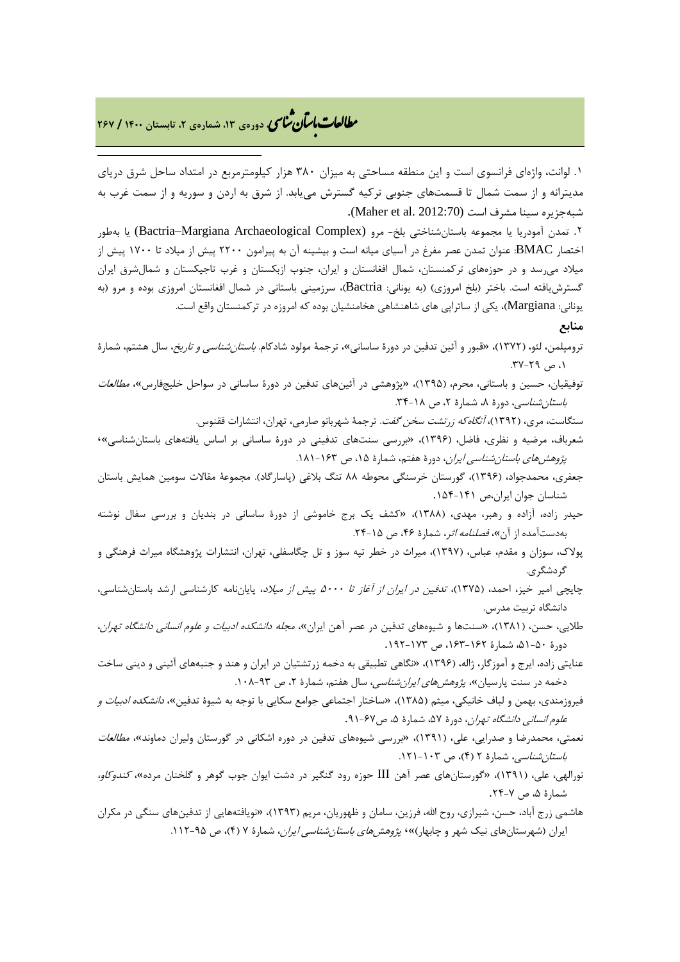## **، دورهي ،13 شمارهي ،2 تابستان <sup>1400</sup> / <sup>267</sup>** � ی نا� �طا با� تان �عات

-

.۱ لوانت، واژهاي فرانسوي است و این منطقه مساحتی به میزان 380 هزار کیلومترمربع در امتداد ساحل شرق دریاي مدیترانه و از سمت شمال تا قسمتهاي جنوبی ترکیه گسترش مییابد. از شرق به اردن و سوریه و از سمت غرب به شبهجزیره سینا مشرف است (2012:70 .Maher et al.

.۲ تمدن آمودریا یا مجموعه باستانشناختی بلخ- مرو (Complex Archaeological Margiana–Bactria (یا بهطور اختصار BMAC: عنوان تمدن عصر مفرغ در آسیاي میانه است و بیشینه آن به پیرامون 2200 پیش از میلاد تا 1700 پیش از میلاد میرسد و در حوزههاي ترکمنستان، شمال افغانستان و ایران، جنوب ازبکستان و غرب تاجیکستان و شمالشرق ایران گسترشیافته است. باختر (بلخ امروزي) (به یونانی: Bactria(، سرزمینی باستانی در شمال افغانستان امروزي بوده و مرو (به یونانی: Margiana(، یکی از ساتراپی هاي شاهنشاهی هخامنشیان بوده که امروزه در ترکمنستان واقع است.

#### **منابع**

- ترومپلمن، لئو، (1372)، «قبور و آئین تدفین در دورة ساسانی»، ترجمۀ مولود شادکام. باستانشناسی و تاریخ، سال هشتم، شمارة ، ص ٢٩-٣٧.
- توفیقیان، حسین و باستانی، محرم، (1395)، «پژوهشی در آئینهاي تدفین در دورة ساسانی در سواحل خلیجفارس»، مطالعات ب*استان شناسی*، دورهٔ ۸، شمارهٔ ۲، ص ۱۸-۳۴.

ستگاست، مري، (1392)، آنگاهکه زرتشت سخن گفت. ترجمۀ شهربانو صارمی، تهران، انتشارات ققنوس.

- شعرباف، مرضیه و نظري، فاضل، (1396)، «بررسی سنتهاي تدفینی در دورة ساسانی بر اساس یافتههاي باستانشناسی»، پژو*هشهای باستانشناسی ایران*، دورهٔ هفتم، شمارهٔ ۱۵، ص ۱۶۳-۱۸۱.
- جعفري، محمدجواد، (1396)، گورستان خرسنگی محوطه 88 تنگ بلاغی (پاسارگاد). مجموعۀ مقالات سومین همایش باستان شناسان جوان ایران،ص .154-141
- حیدر زاده، آزاده و رهبر، مهدي، (1388)، «کشف یک برج خاموشی از دورة ساسانی در بندیان و بررسی سفال نوشته بهدستآمده از آن»، *فصلنامه اثر*، شمارهٔ ۴۶، ص ۱۵-۲۴.
- پولاك، سوزان و مقدم، عباس، (1397)، میراث در خطر تپه سوز و تل چگاسفلی، تهران، انتشارات پژوهشگاه میراث فرهنگی و گردشگري.
- چایچی امیر خیز، احمد، (1375)، تدفین در ایران از آغاز تا 5000 پیش از میلاد، پایاننامه کارشناسی ارشد باستانشناسی، دانشگاه تربیت مدرس.
- طلایی، حسن، (1381)، «سنتها و شیوههاي تدفین در عصر آهن ایران»، مجله دانشکده ادبیات و علوم انسانی دانشگاه تهران، دورة ،51-50 شمارة ،163-162 ص .192-173
- عنایتی زاده، ایرج و آموزگار، ژاله، (1396)، «نگاهی تطبیقی به دخمه زرتشتیان در ایران و هند و جنبههاي آئینی و دینی ساخت دخمه در سنت پارسیان»، *پژوهشهای ایران شناسی*، سال هفتم، شمارهٔ ۲، ص ۹۳-۱۰۸.
- فیروزمندي، بهمن و لباف خانیکی، میثم (1385)، «ساختار اجتماعی جوامع سکایی با توجه به شیوة تدفین»، دانشکده ادبیات و ع*لوم انسانی دانشگاه تهران*، دورهٔ ۵۷، شمارهٔ ۵، ص۶۷-۹۱.
- نعمتی، محمدرضا و صدرایی، علی، (1391)، «بررسی شیوههاي تدفین در دوره اشکانی در گورستان ولیران دماوند»، مطالعات ب*استان شناسی،* شمارهٔ ۲ (۴)، ص ۱۰۳-۱۲۱.
- نورالهی، علی، (1391)، «گورستانهاي عصر آهن III حوزه رود گنگیر در دشت ایوان جوب گوهر و گلخنان مرده»، کندوکاو، شمارة ،5 ص .24-7
- هاشمی زرج آباد، حسن، شیرازي، روح االله، فرزین، سامان و ظهوریان، مریم (1393)، «نویافتههایی از تدفینهاي سنگی در مکران ایران (شهرستانهای نیک شهر و چابهار)»*، پژوهشهای باستانشناسی ایران*، شمارهٔ ۷ (۴)، ص ۹۵-۱۱۲.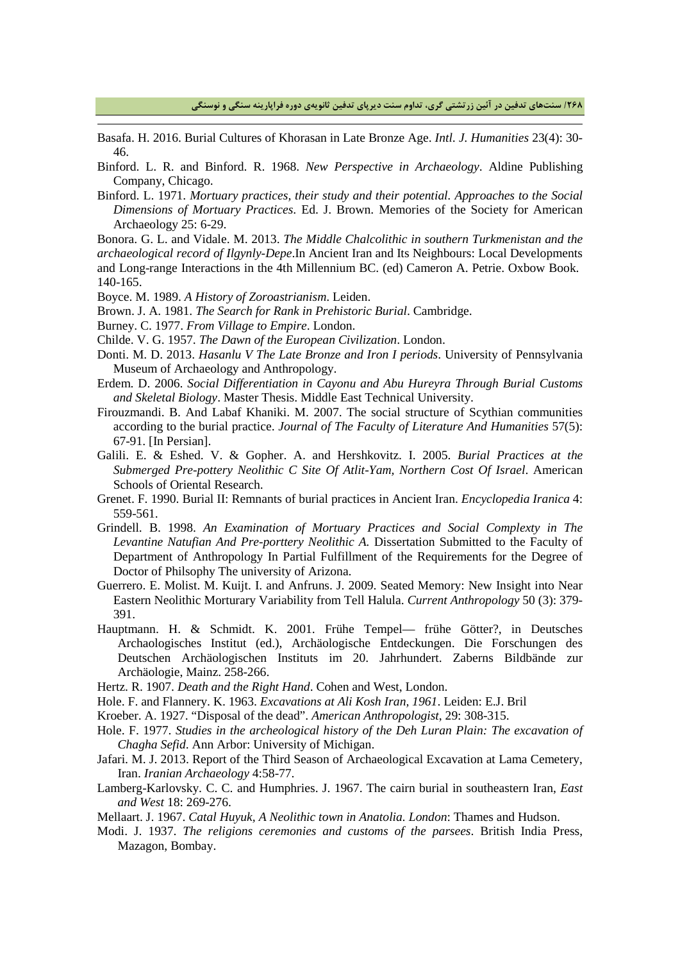**/268 سنتهاي تدفین در آئین زرتشتی گري، تداوم سنت دیرپاي تدفین ثانویهي دوره فراپارینه سنگی و نوسنگی**

- Basafa. H. 2016. Burial Cultures of Khorasan in Late Bronze Age. *Intl. J. Humanities* 23(4): 30- 46.
- Binford. L. R. and Binford. R. 1968. *New Perspective in Archaeology*. Aldine Publishing Company, Chicago.
- Binford. L. 1971. *Mortuary practices, their study and their potential. Approaches to the Social Dimensions of Mortuary Practices*. Ed. J. Brown. Memories of the Society for American Archaeology 25: 6-29.

Bonora. G. L. and Vidale. M. 2013. *The Middle Chalcolithic in southern Turkmenistan and the archaeological record of Ilgynly-Depe*.In Ancient Iran and Its Neighbours: Local Developments and Long-range Interactions in the 4th Millennium BC. (ed) Cameron A. Petrie. Oxbow Book. 140-165.

Boyce. M. 1989. *A History of Zoroastrianism*. Leiden.

- Brown. J. A. 1981. *The Search for Rank in Prehistoric Burial*. Cambridge.
- Burney. C. 1977. *From Village to Empire*. London.

-

Childe. V. G. 1957. *The Dawn of the European Civilization*. London.

- Donti. M. D. 2013. *Hasanlu V The Late Bronze and Iron I periods*. University of Pennsylvania Museum of Archaeology and Anthropology.
- Erdem. D. 2006. *Social Differentiation in Cayonu and Abu Hureyra Through Burial Customs and Skeletal Biology*. Master Thesis. Middle East Technical University.
- Firouzmandi. B. And Labaf Khaniki. M. 2007. The social structure of Scythian communities according to the burial practice. *Journal of The Faculty of Literature And Humanities* 57(5): 67-91. [In Persian].
- Galili. E. & Eshed. V. & Gopher. A. and Hershkovitz. I. 2005. *Burial Practices at the Submerged Pre-pottery Neolithic C Site Of Atlit-Yam, Northern Cost Of Israel*. American Schools of Oriental Research.
- Grenet. F. 1990. Burial II: Remnants of burial practices in Ancient Iran. *Encyclopedia Iranica* 4: 559-561.
- Grindell. B. 1998. *An Examination of Mortuary Practices and Social Complexty in The Levantine Natufian And Pre-porttery Neolithic A.* Dissertation Submitted to the Faculty of Department of Anthropology In Partial Fulfillment of the Requirements for the Degree of Doctor of Philsophy The university of Arizona.
- Guerrero. E. Molist. M. Kuijt. I. and Anfruns. J. 2009. Seated Memory: New Insight into Near Eastern Neolithic Morturary Variability from Tell Halula. *Current Anthropology* 50 (3): 379- 391.
- Hauptmann. H. & Schmidt. K. 2001. Frühe Tempel— frühe Götter?, in Deutsches Archaologisches Institut (ed.), Archäologische Entdeckungen. Die Forschungen des Deutschen Archäologischen Instituts im 20. Jahrhundert. Zaberns Bildbände zur Archäologie, Mainz. 258-266.
- Hertz. R. 1907. *Death and the Right Hand*. Cohen and West, London.
- Hole. F. and Flannery. K. 1963. *Excavations at Ali Kosh Iran, 1961*. Leiden: E.J. Bril
- Kroeber. A. 1927. "Disposal of the dead". *American Anthropologist*, 29: 308-315.
- Hole. F. 1977. *Studies in the archeological history of the Deh Luran Plain: The excavation of Chagha Sefid*. Ann Arbor: University of Michigan.
- Jafari. M. J. 2013. Report of the Third Season of Archaeological Excavation at Lama Cemetery, Iran. *Iranian Archaeology* 4:58-77.
- Lamberg-Karlovsky. C. C. and Humphries. J. 1967. The cairn burial in southeastern Iran, *East and West* 18: 269-276.
- Mellaart. J. 1967. *Catal Huyuk, A Neolithic town in Anatolia. London*: Thames and Hudson.
- Modi. J. 1937. *The religions ceremonies and customs of the parsees*. British India Press, Mazagon, Bombay.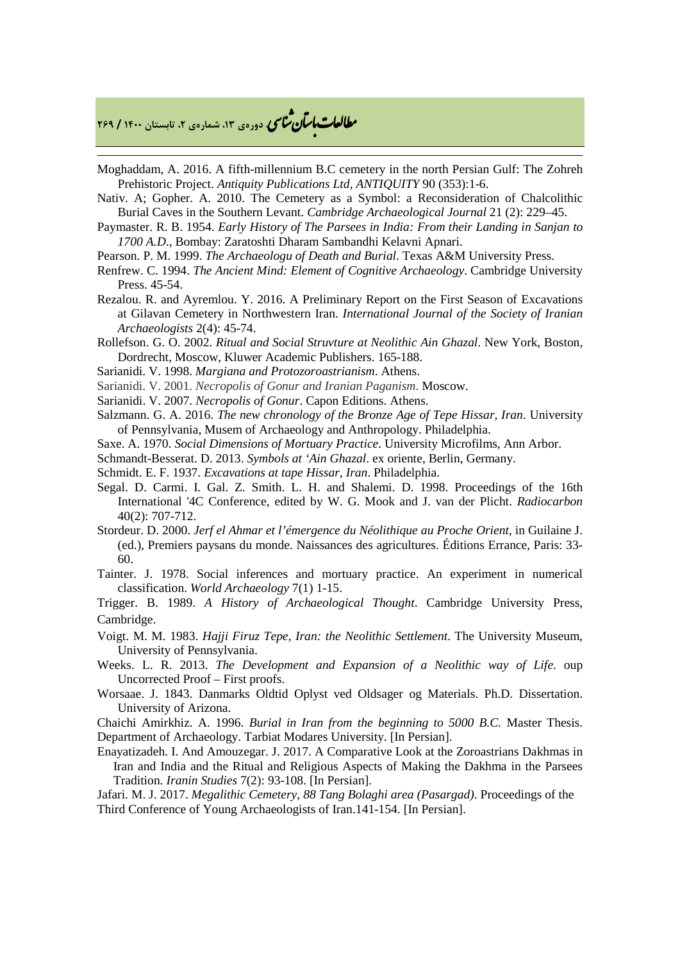### **، دورهي ،13 شمارهي ،2 تابستان <sup>1400</sup> / <sup>269</sup>** � ی نا� �طا با� تان �عات

-

- Moghaddam, A. 2016. A fifth-millennium B.C cemetery in the north Persian Gulf: The Zohreh Prehistoric Project. *Antiquity Publications Ltd, ANTIQUITY* 90 (353):1-6.
- Nativ. A; Gopher. A. 2010. The Cemetery as a Symbol: a Reconsideration of Chalcolithic Burial Caves in the Southern Levant. *Cambridge Archaeological Journal* 21 (2): 229–45.
- Paymaster. R. B. 1954. *Early History of The Parsees in India: From their Landing in Sanjan to 1700 A.D*., Bombay: Zaratoshti Dharam Sambandhi Kelavni Apnari.
- Pearson. P. M. 1999. *The Archaeologu of Death and Burial*. Texas A&M University Press.
- Renfrew. C. 1994. *The Ancient Mind: Element of Cognitive Archaeology*. Cambridge University Press. 45-54.
- Rezalou. R. and Ayremlou. Y. 2016. A Preliminary Report on the First Season of Excavations at Gilavan Cemetery in Northwestern Iran. *International Journal of the Society of Iranian Archaeologists* 2(4): 45-74.
- Rollefson. G. O. 2002. *Ritual and Social Struvture at Neolithic Ain Ghazal*. New York, Boston, Dordrecht, Moscow, Kluwer Academic Publishers. 165-188.
- Sarianidi. V. 1998. *Margiana and Protozoroastrianism*. Athens.
- Sarianidi. V. 2001. *Necropolis of Gonur and Iranian Paganism*. Moscow.
- Sarianidi. V. 2007. *Necropolis of Gonur*. Capon Editions. Athens.
- Salzmann. G. A. 2016. *The new chronology of the Bronze Age of Tepe Hissar, Iran*. University of Pennsylvania, Musem of Archaeology and Anthropology. Philadelphia.
- Saxe. A. 1970. *Social Dimensions of Mortuary Practice*. University Microfilms, Ann Arbor.
- Schmandt-Besserat. D. 2013. *Symbols at 'Ain Ghazal*. ex oriente, Berlin, Germany.
- Schmidt. E. F. 1937. *Excavations at tape Hissar, Iran*. Philadelphia.
- Segal. D. Carmi. I. Gal. Z. Smith. L. H. and Shalemi. D. 1998. Proceedings of the 16th International '4C Conference, edited by W. G. Mook and J. van der Plicht. *Radiocarbon*  40(2): 707-712.
- Stordeur. D. 2000. *Jerf el Ahmar et l'émergence du Néolithique au Proche Orient*, in Guilaine J. (ed.), Premiers paysans du monde. Naissances des agricultures. Éditions Errance, Paris: 33- 60.
- Tainter. J. 1978. Social inferences and mortuary practice. An experiment in numerical classification. *World Archaeology* 7(1) 1-15.

Trigger. B. 1989. *A History of Archaeological Thought*. Cambridge University Press, Cambridge.

- Voigt. M. M. 1983. *Hajji Firuz Tepe, Iran: the Neolithic Settlement*. The University Museum, University of Pennsylvania.
- Weeks. L. R. 2013. *The Development and Expansion of a Neolithic way of Life*. oup Uncorrected Proof – First proofs.
- Worsaae. J. 1843. Danmarks Oldtid Oplyst ved Oldsager og Materials. Ph.D. Dissertation. University of Arizona.

Chaichi Amirkhiz. A. 1996. *Burial in Iran from the beginning to 5000 B.C.* Master Thesis. Department of Archaeology. Tarbiat Modares University. [In Persian].

- Enayatizadeh. I. And Amouzegar. J. 2017. A Comparative Look at the Zoroastrians Dakhmas in Iran and India and the Ritual and Religious Aspects of Making the Dakhma in the Parsees Tradition*. Iranin Studies* 7(2): 93-108. [In Persian].
- Jafari. M. J. 2017. *Megalithic Cemetery, 88 Tang Bolaghi area (Pasargad)*. Proceedings of the Third Conference of Young Archaeologists of Iran.141-154. [In Persian].